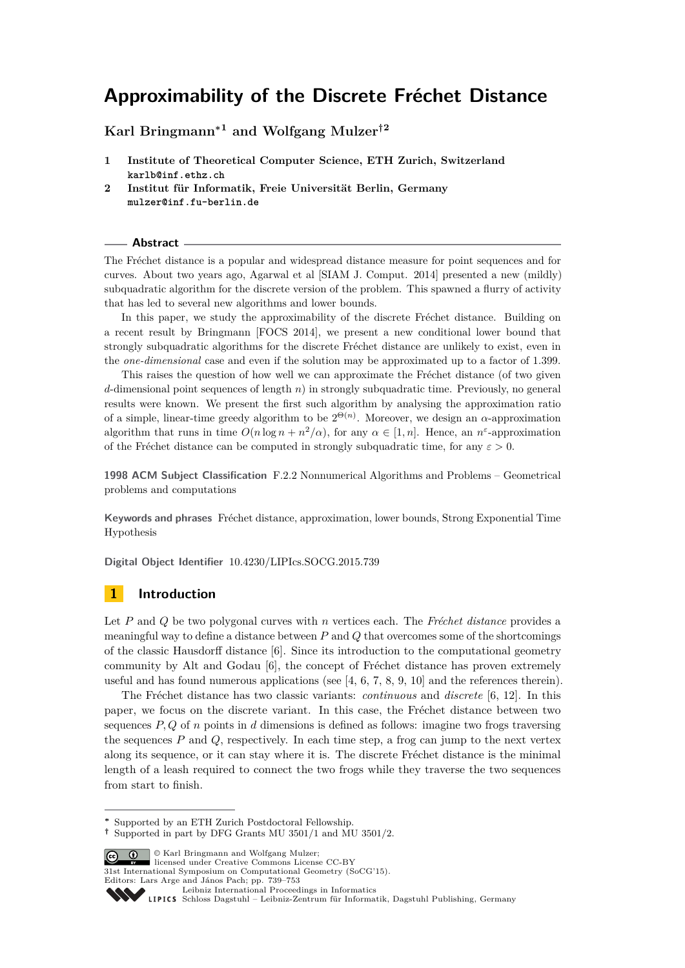**Karl Bringmann<sup>∗</sup><sup>1</sup> and Wolfgang Mulzer†<sup>2</sup>**

- **1 Institute of Theoretical Computer Science, ETH Zurich, Switzerland karlb@inf.ethz.ch**
- **2 Institut für Informatik, Freie Universität Berlin, Germany mulzer@inf.fu-berlin.de**

#### **Abstract**

The Fréchet distance is a popular and widespread distance measure for point sequences and for curves. About two years ago, Agarwal et al [SIAM J. Comput. 2014] presented a new (mildly) subquadratic algorithm for the discrete version of the problem. This spawned a flurry of activity that has led to several new algorithms and lower bounds.

In this paper, we study the approximability of the discrete Fréchet distance. Building on a recent result by Bringmann [FOCS 2014], we present a new conditional lower bound that strongly subquadratic algorithms for the discrete Fréchet distance are unlikely to exist, even in the *one-dimensional* case and even if the solution may be approximated up to a factor of 1*.*399.

This raises the question of how well we can approximate the Fréchet distance (of two given *d*-dimensional point sequences of length *n*) in strongly subquadratic time. Previously, no general results were known. We present the first such algorithm by analysing the approximation ratio of a simple, linear-time greedy algorithm to be  $2^{\Theta(n)}$ . Moreover, we design an  $\alpha$ -approximation algorithm that runs in time  $O(n \log n + n^2/\alpha)$ , for any  $\alpha \in [1, n]$ . Hence, an  $n^{\varepsilon}$ -approximation of the Fréchet distance can be computed in strongly subquadratic time, for any  $\varepsilon > 0$ .

**1998 ACM Subject Classification** F.2.2 Nonnumerical Algorithms and Problems – Geometrical problems and computations

**Keywords and phrases** Fréchet distance, approximation, lower bounds, Strong Exponential Time Hypothesis

**Digital Object Identifier** [10.4230/LIPIcs.SOCG.2015.739](http://dx.doi.org/10.4230/LIPIcs.SOCG.2015.739)

## **1 Introduction**

Let *P* and *Q* be two polygonal curves with *n* vertices each. The *Fréchet distance* provides a meaningful way to define a distance between *P* and *Q* that overcomes some of the shortcomings of the classic Hausdorff distance [\[6\]](#page-13-0). Since its introduction to the computational geometry community by Alt and Godau [\[6\]](#page-13-0), the concept of Fréchet distance has proven extremely useful and has found numerous applications (see  $[4, 6, 7, 8, 9, 10]$  $[4, 6, 7, 8, 9, 10]$  $[4, 6, 7, 8, 9, 10]$  $[4, 6, 7, 8, 9, 10]$  $[4, 6, 7, 8, 9, 10]$  $[4, 6, 7, 8, 9, 10]$  $[4, 6, 7, 8, 9, 10]$  $[4, 6, 7, 8, 9, 10]$  $[4, 6, 7, 8, 9, 10]$  $[4, 6, 7, 8, 9, 10]$  $[4, 6, 7, 8, 9, 10]$  and the references therein).

The Fréchet distance has two classic variants: *continuous* and *discrete* [\[6,](#page-13-0) [12\]](#page-14-3). In this paper, we focus on the discrete variant. In this case, the Fréchet distance between two sequences *P, Q* of *n* points in *d* dimensions is defined as follows: imagine two frogs traversing the sequences *P* and *Q*, respectively. In each time step, a frog can jump to the next vertex along its sequence, or it can stay where it is. The discrete Fréchet distance is the minimal length of a leash required to connect the two frogs while they traverse the two sequences from start to finish.

© Karl Bringmann and Wolfgang Mulzer; licensed under Creative Commons License CC-BY

31st International Symposium on Computational Geometry (SoCG'15).

Editors: Lars Arge and János Pach; pp. 739[–753](#page-14-4)



[Schloss Dagstuhl – Leibniz-Zentrum für Informatik, Dagstuhl Publishing, Germany](http://www.dagstuhl.de)

**<sup>∗</sup>** Supported by an ETH Zurich Postdoctoral Fellowship.

**<sup>†</sup>** Supported in part by DFG Grants MU 3501/1 and MU 3501/2.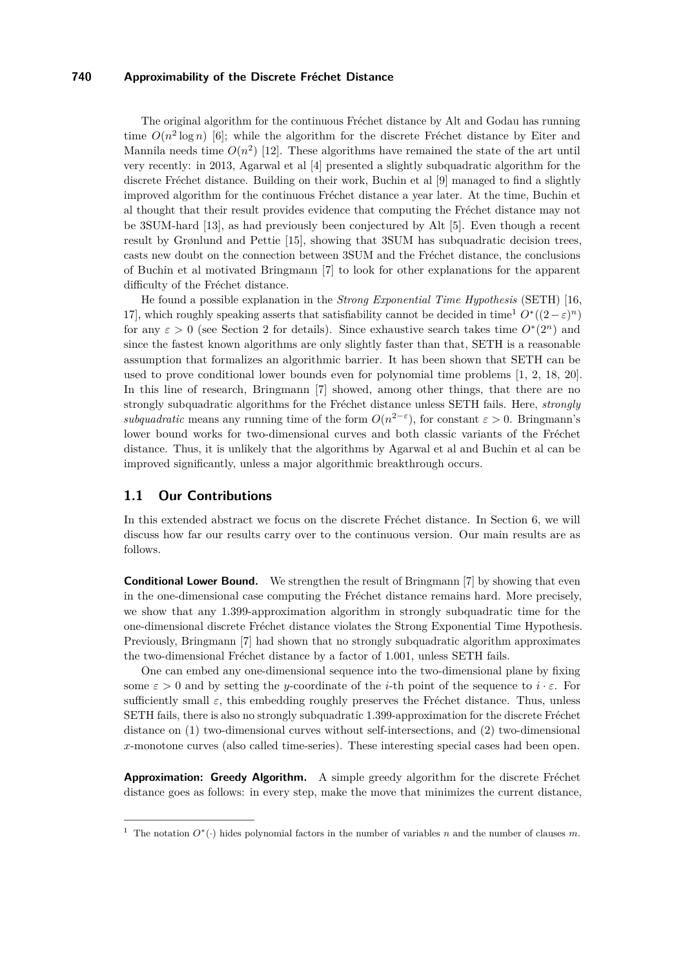The original algorithm for the continuous Fréchet distance by Alt and Godau has running time  $O(n^2 \log n)$  [\[6\]](#page-13-0); while the algorithm for the discrete Fréchet distance by Eiter and Mannila needs time  $O(n^2)$  [\[12\]](#page-14-3). These algorithms have remained the state of the art until very recently: in 2013, Agarwal et al [\[4\]](#page-13-1) presented a slightly subquadratic algorithm for the discrete Fréchet distance. Building on their work, Buchin et al [\[9\]](#page-14-1) managed to find a slightly improved algorithm for the continuous Fréchet distance a year later. At the time, Buchin et al thought that their result provides evidence that computing the Fréchet distance may not be 3SUM-hard [\[13\]](#page-14-5), as had previously been conjectured by Alt [\[5\]](#page-13-3). Even though a recent result by Grønlund and Pettie [\[15\]](#page-14-6), showing that 3SUM has subquadratic decision trees, casts new doubt on the connection between 3SUM and the Fréchet distance, the conclusions of Buchin et al motivated Bringmann [\[7\]](#page-13-2) to look for other explanations for the apparent difficulty of the Fréchet distance.

He found a possible explanation in the *Strong Exponential Time Hypothesis* (SETH) [\[16,](#page-14-7) [17\]](#page-14-8), which roughly speaking asserts that satisfiability cannot be decided in time<sup>[1](#page-1-0)</sup>  $O^*(2-\varepsilon)^n$ for any  $\varepsilon > 0$  (see Section [2](#page-2-0) for details). Since exhaustive search takes time  $O^*(2^n)$  and since the fastest known algorithms are only slightly faster than that, SETH is a reasonable assumption that formalizes an algorithmic barrier. It has been shown that SETH can be used to prove conditional lower bounds even for polynomial time problems [\[1,](#page-13-4) [2,](#page-13-5) [18,](#page-14-9) [20\]](#page-14-10). In this line of research, Bringmann [\[7\]](#page-13-2) showed, among other things, that there are no strongly subquadratic algorithms for the Fréchet distance unless SETH fails. Here, *strongly subquadratic* means any running time of the form  $O(n^{2-\epsilon})$ , for constant  $\epsilon > 0$ . Bringmann's lower bound works for two-dimensional curves and both classic variants of the Fréchet distance. Thus, it is unlikely that the algorithms by Agarwal et al and Buchin et al can be improved significantly, unless a major algorithmic breakthrough occurs.

## **1.1 Our Contributions**

In this extended abstract we focus on the discrete Fréchet distance. In Section [6,](#page-13-6) we will discuss how far our results carry over to the continuous version. Our main results are as follows.

**Conditional Lower Bound.** We strengthen the result of Bringmann [\[7\]](#page-13-2) by showing that even in the one-dimensional case computing the Fréchet distance remains hard. More precisely, we show that any 1.399-approximation algorithm in strongly subquadratic time for the one-dimensional discrete Fréchet distance violates the Strong Exponential Time Hypothesis. Previously, Bringmann [\[7\]](#page-13-2) had shown that no strongly subquadratic algorithm approximates the two-dimensional Fréchet distance by a factor of 1*.*001, unless SETH fails.

One can embed any one-dimensional sequence into the two-dimensional plane by fixing some  $\varepsilon > 0$  and by setting the *y*-coordinate of the *i*-th point of the sequence to  $i \cdot \varepsilon$ . For sufficiently small  $\varepsilon$ , this embedding roughly preserves the Fréchet distance. Thus, unless SETH fails, there is also no strongly subquadratic 1*.*399-approximation for the discrete Fréchet distance on (1) two-dimensional curves without self-intersections, and (2) two-dimensional *x*-monotone curves (also called time-series). These interesting special cases had been open.

**Approximation: Greedy Algorithm.** A simple greedy algorithm for the discrete Fréchet distance goes as follows: in every step, make the move that minimizes the current distance,

<span id="page-1-0"></span><sup>&</sup>lt;sup>1</sup> The notation  $O^*(\cdot)$  hides polynomial factors in the number of variables *n* and the number of clauses *m*.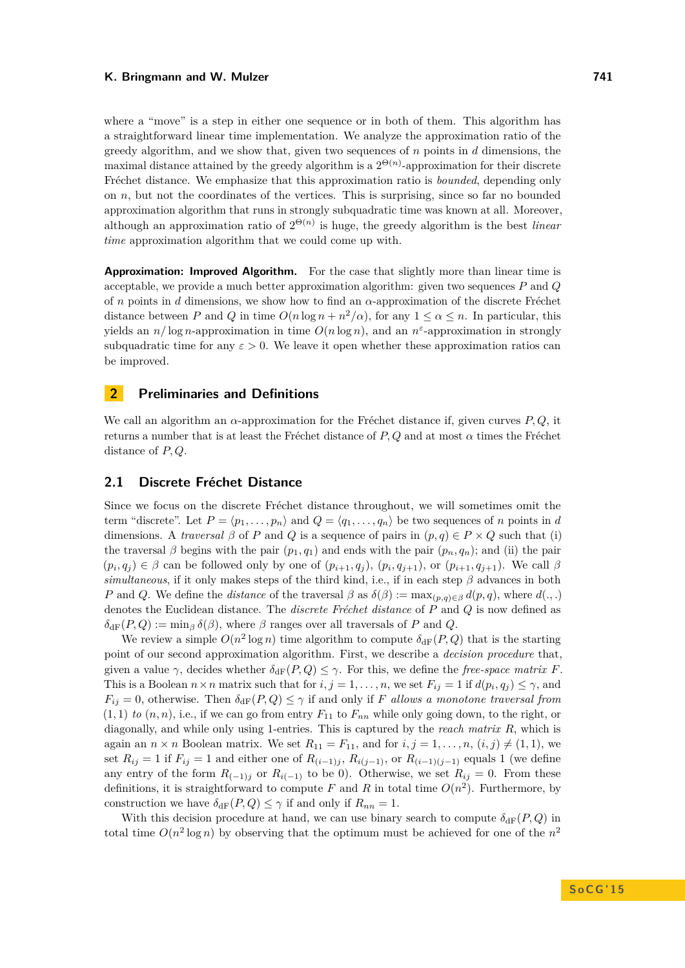where a "move" is a step in either one sequence or in both of them. This algorithm has a straightforward linear time implementation. We analyze the approximation ratio of the greedy algorithm, and we show that, given two sequences of *n* points in *d* dimensions, the maximal distance attained by the greedy algorithm is a  $2^{\Theta(n)}$ -approximation for their discrete Fréchet distance. We emphasize that this approximation ratio is *bounded*, depending only on *n*, but not the coordinates of the vertices. This is surprising, since so far no bounded approximation algorithm that runs in strongly subquadratic time was known at all. Moreover, although an approximation ratio of  $2^{\Theta(n)}$  is huge, the greedy algorithm is the best *linear time* approximation algorithm that we could come up with.

**Approximation: Improved Algorithm.** For the case that slightly more than linear time is acceptable, we provide a much better approximation algorithm: given two sequences *P* and *Q* of *n* points in *d* dimensions, we show how to find an *α*-approximation of the discrete Fréchet distance between *P* and *Q* in time  $O(n \log n + n^2/\alpha)$ , for any  $1 \leq \alpha \leq n$ . In particular, this yields an  $n/\log n$ -approximation in time  $O(n \log n)$ , and an  $n^{\varepsilon}$ -approximation in strongly subquadratic time for any  $\varepsilon > 0$ . We leave it open whether these approximation ratios can be improved.

## <span id="page-2-0"></span>**2 Preliminaries and Definitions**

We call an algorithm an *α*-approximation for the Fréchet distance if, given curves *P, Q*, it returns a number that is at least the Fréchet distance of *P, Q* and at most *α* times the Fréchet distance of *P, Q*.

## **2.1 Discrete Fréchet Distance**

Since we focus on the discrete Fréchet distance throughout, we will sometimes omit the term "discrete". Let  $P = \langle p_1, \ldots, p_n \rangle$  and  $Q = \langle q_1, \ldots, q_n \rangle$  be two sequences of *n* points in *d* dimensions. A *traversal*  $\beta$  of *P* and *Q* is a sequence of pairs in  $(p, q) \in P \times Q$  such that (i) the traversal *β* begins with the pair  $(p_1, q_1)$  and ends with the pair  $(p_n, q_n)$ ; and (ii) the pair  $(p_i, q_j) \in \beta$  can be followed only by one of  $(p_{i+1}, q_j)$ ,  $(p_i, q_{j+1})$ , or  $(p_{i+1}, q_{j+1})$ . We call  $\beta$ *simultaneous*, if it only makes steps of the third kind, i.e., if in each step *β* advances in both *P* and *Q*. We define the *distance* of the traversal  $\beta$  as  $\delta(\beta) := \max_{(p,q) \in \beta} d(p,q)$ , where  $d(.,.)$ denotes the Euclidean distance. The *discrete Fréchet distance* of *P* and *Q* is now defined as  $\delta_{\text{dF}}(P,Q) := \min_{\beta} \delta(\beta)$ , where  $\beta$  ranges over all traversals of *P* and *Q*.

We review a simple  $O(n^2 \log n)$  time algorithm to compute  $\delta_{\text{dF}}(P,Q)$  that is the starting point of our second approximation algorithm. First, we describe a *decision procedure* that, given a value  $\gamma$ , decides whether  $\delta_{\text{dF}}(P,Q) \leq \gamma$ . For this, we define the *free-space matrix F*. This is a Boolean  $n \times n$  matrix such that for  $i, j = 1, \ldots, n$ , we set  $F_{ij} = 1$  if  $d(p_i, q_j) \leq \gamma$ , and  $F_{ij} = 0$ , otherwise. Then  $\delta_{\rm dF}(P,Q) \leq \gamma$  if and only if *F* allows a monotone traversal from  $(1,1)$  *to*  $(n,n)$ , i.e., if we can go from entry  $F_{11}$  to  $F_{nn}$  while only going down, to the right, or diagonally, and while only using 1-entries. This is captured by the *reach matrix R*, which is again an  $n \times n$  Boolean matrix. We set  $R_{11} = F_{11}$ , and for  $i, j = 1, \ldots, n$ ,  $(i, j) \neq (1, 1)$ , we set  $R_{ij} = 1$  if  $F_{ij} = 1$  and either one of  $R_{(i-1)j}$ ,  $R_{i(j-1)}$ , or  $R_{(i-1)(j-1)}$  equals 1 (we define any entry of the form  $R_{(-1)j}$  or  $R_{i(-1)}$  to be 0). Otherwise, we set  $R_{ij} = 0$ . From these definitions, it is straightforward to compute  $F$  and  $R$  in total time  $O(n^2)$ . Furthermore, by construction we have  $\delta_{\text{dF}}(P,Q) \leq \gamma$  if and only if  $R_{nn} = 1$ .

With this decision procedure at hand, we can use binary search to compute  $\delta_{\text{dF}}(P,Q)$  in total time  $O(n^2 \log n)$  by observing that the optimum must be achieved for one of the  $n^2$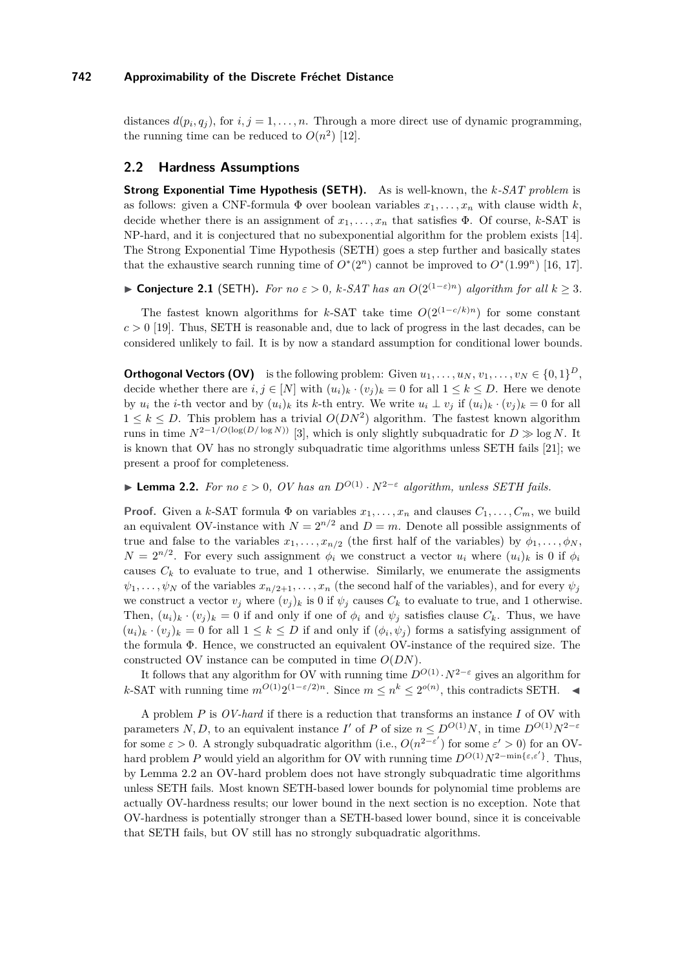distances  $d(p_i, q_j)$ , for  $i, j = 1, \ldots, n$ . Through a more direct use of dynamic programming, the running time can be reduced to  $O(n^2)$  [\[12\]](#page-14-3).

### **2.2 Hardness Assumptions**

**Strong Exponential Time Hypothesis (SETH).** As is well-known, the *k-SAT problem* is as follows: given a CNF-formula  $\Phi$  over boolean variables  $x_1, \ldots, x_n$  with clause width  $k$ , decide whether there is an assignment of  $x_1, \ldots, x_n$  that satisfies  $\Phi$ . Of course, *k*-SAT is NP-hard, and it is conjectured that no subexponential algorithm for the problem exists [\[14\]](#page-14-11). The Strong Exponential Time Hypothesis (SETH) goes a step further and basically states that the exhaustive search running time of  $O^*(2^n)$  cannot be improved to  $O^*(1.99^n)$  [\[16,](#page-14-7) [17\]](#page-14-8).

**► Conjecture 2.1** (SETH). For no  $\varepsilon > 0$ ,  $k$ *-SAT has an*  $O(2^{(1-\varepsilon)n})$  *algorithm for all*  $k \ge 3$ *.* 

The fastest known algorithms for *k*-SAT take time  $O(2^{(1-c/k)n})$  for some constant  $c > 0$  [\[19\]](#page-14-12). Thus, SETH is reasonable and, due to lack of progress in the last decades, can be considered unlikely to fail. It is by now a standard assumption for conditional lower bounds.

**Orthogonal Vectors (OV)** is the following problem: Given  $u_1, \ldots, u_N, v_1, \ldots, v_N \in \{0,1\}^D$ , decide whether there are  $i, j \in [N]$  with  $(u_i)_k \cdot (v_j)_k = 0$  for all  $1 \leq k \leq D$ . Here we denote by  $u_i$  the *i*-th vector and by  $(u_i)_k$  its *k*-th entry. We write  $u_i \perp v_j$  if  $(u_i)_k \cdot (v_j)_k = 0$  for all  $1 \leq k \leq D$ . This problem has a trivial  $O(DN^2)$  algorithm. The fastest known algorithm runs in time  $N^{2-1/O(\log(D/\log N))}$  [\[3\]](#page-13-7), which is only slightly subquadratic for  $D \gg \log N$ . It is known that OV has no strongly subquadratic time algorithms unless SETH fails [\[21\]](#page-14-13); we present a proof for completeness.

<span id="page-3-0"></span>**► Lemma 2.2.** *For no*  $\varepsilon > 0$ , *OV has an*  $D^{O(1)} \cdot N^{2-\varepsilon}$  *algorithm, unless SETH fails.* 

**Proof.** Given a *k*-SAT formula  $\Phi$  on variables  $x_1, \ldots, x_n$  and clauses  $C_1, \ldots, C_m$ , we build an equivalent OV-instance with  $N = 2^{n/2}$  and  $D = m$ . Denote all possible assignments of true and false to the variables  $x_1, \ldots, x_{n/2}$  (the first half of the variables) by  $\phi_1, \ldots, \phi_N$ ,  $N = 2^{n/2}$ . For every such assignment  $\phi_i$  we construct a vector  $u_i$  where  $(u_i)_k$  is 0 if  $\phi_i$ causes  $C_k$  to evaluate to true, and 1 otherwise. Similarly, we enumerate the assigments  $\psi_1, \ldots, \psi_N$  of the variables  $x_{n/2+1}, \ldots, x_n$  (the second half of the variables), and for every  $\psi_j$ we construct a vector  $v_j$  where  $(v_j)_k$  is 0 if  $\psi_j$  causes  $C_k$  to evaluate to true, and 1 otherwise. Then,  $(u_i)_k \cdot (v_j)_k = 0$  if and only if one of  $\phi_i$  and  $\psi_j$  satisfies clause  $C_k$ . Thus, we have  $(u_i)_k \cdot (v_j)_k = 0$  for all  $1 \leq k \leq D$  if and only if  $(\phi_i, \psi_j)$  forms a satisfying assignment of the formula Φ. Hence, we constructed an equivalent OV-instance of the required size. The constructed OV instance can be computed in time *O*(*DN*).

It follows that any algorithm for OV with running time  $D^{O(1)} \cdot N^{2-\epsilon}$  gives an algorithm for *k*-SAT with running time  $m^{O(1)}2^{(1-\varepsilon/2)n}$ . Since  $m \leq n^k \leq 2^{o(n)}$ , this contradicts SETH. ◄

A problem *P* is *OV-hard* if there is a reduction that transforms an instance *I* of OV with parameters *N*, *D*, to an equivalent instance *I*' of *P* of size  $n \leq D^{O(1)}N$ , in time  $D^{O(1)}N^{2-\varepsilon}$ for some  $\varepsilon > 0$ . A strongly subquadratic algorithm (i.e.,  $O(n^{2-\varepsilon'})$  for some  $\varepsilon' > 0$ ) for an OVhard problem *P* would yield an algorithm for OV with running time  $D^{O(1)}N^{2-\min{\{\varepsilon,\varepsilon'\}}}$ . Thus, by Lemma [2.2](#page-3-0) an OV-hard problem does not have strongly subquadratic time algorithms unless SETH fails. Most known SETH-based lower bounds for polynomial time problems are actually OV-hardness results; our lower bound in the next section is no exception. Note that OV-hardness is potentially stronger than a SETH-based lower bound, since it is conceivable that SETH fails, but OV still has no strongly subquadratic algorithms.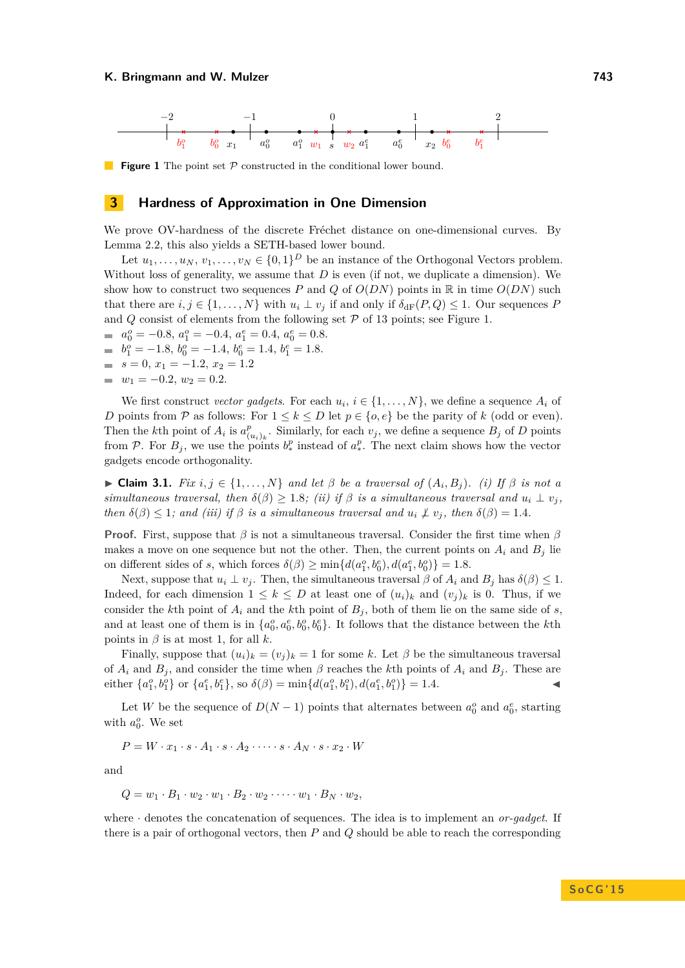<span id="page-4-0"></span>

**Figure 1** The point set P constructed in the conditional lower bound.

#### **3 Hardness of Approximation in One Dimension**

We prove OV-hardness of the discrete Fréchet distance on one-dimensional curves. By Lemma [2.2,](#page-3-0) this also yields a SETH-based lower bound.

Let  $u_1, \ldots, u_N, v_1, \ldots, v_N \in \{0,1\}^D$  be an instance of the Orthogonal Vectors problem. Without loss of generality, we assume that *D* is even (if not, we duplicate a dimension). We show how to construct two sequences *P* and *Q* of  $O(DN)$  points in R in time  $O(DN)$  such that there are  $i, j \in \{1, ..., N\}$  with  $u_i \perp v_j$  if and only if  $\delta_{\text{dF}}(P, Q) \leq 1$ . Our sequences P and  $Q$  consist of elements from the following set  $P$  of 13 points; see Figure [1.](#page-4-0)

- $a_0^o = -0.8$ ,  $a_1^o = -0.4$ ,  $a_1^e = 0.4$ ,  $a_0^e = 0.8$ .
- $b_1^o = -1.8$ ,  $b_0^o = -1.4$ ,  $b_0^e = 1.4$ ,  $b_1^e = 1.8$ .
- $s = 0, x_1 = -1.2, x_2 = 1.2$
- $w_1 = -0.2, w_2 = 0.2.$

We first construct *vector gadgets*. For each  $u_i$ ,  $i \in \{1, \ldots, N\}$ , we define a sequence  $A_i$  of *D* points from P as follows: For  $1 \leq k \leq D$  let  $p \in \{o, e\}$  be the parity of *k* (odd or even). Then the *k*<sup>th</sup> point of  $A_i$  is  $a_i^p$  $\int_{(u_i)_k}^p$ . Similarly, for each  $v_j$ , we define a sequence  $B_j$  of *D* points from P. For  $B_j$ , we use the points  $b^p_*$  instead of  $a^p_*$ . The next claim shows how the vector gadgets encode orthogonality.

<span id="page-4-1"></span> $▶$  **Claim 3.1.** *Fix*  $i, j \in \{1, ..., N\}$  *and let*  $β$  *be a traversal of*  $(A_i, B_j)$ *. (i)* If  $β$  *is not a simultaneous traversal, then*  $\delta(\beta) \geq 1.8$ *; (ii) if*  $\beta$  *is a simultaneous traversal and*  $u_i \perp v_j$ , *then*  $\delta(\beta) \leq 1$ ; and (iii) if  $\beta$  is a simultaneous traversal and  $u_i \not\perp v_j$ , then  $\delta(\beta) = 1.4$ .

**Proof.** First, suppose that *β* is not a simultaneous traversal. Consider the first time when *β* makes a move on one sequence but not the other. Then, the current points on  $A_i$  and  $B_j$  lie on different sides of *s*, which forces  $\delta(\beta) \ge \min\{d(a_1^o, b_0^e), d(a_1^e, b_0^o)\} = 1.8$ .

Next, suppose that  $u_i \perp v_j$ . Then, the simultaneous traversal  $\beta$  of  $A_i$  and  $B_j$  has  $\delta(\beta) \leq 1$ . Indeed, for each dimension  $1 \leq k \leq D$  at least one of  $(u_i)_k$  and  $(v_j)_k$  is 0. Thus, if we consider the *k*th point of  $A_i$  and the *k*th point of  $B_j$ , both of them lie on the same side of *s*. and at least one of them is in  $\{a_0^o, a_0^e, b_0^o, b_0^e\}$ . It follows that the distance between the *k*th points in  $\beta$  is at most 1, for all  $k$ .

Finally, suppose that  $(u_i)_k = (v_i)_k = 1$  for some *k*. Let  $\beta$  be the simultaneous traversal of  $A_i$  and  $B_j$ , and consider the time when  $\beta$  reaches the *k*th points of  $A_i$  and  $B_j$ . These are either  $\{a_1^o, b_1^o\}$  or  $\{a_1^e, b_1^e\}$ , so  $\delta(\beta) = \min\{d(a_1^o, b_1^o), d(a_1^e, b_1^o)\} = 1.4$ .

Let *W* be the sequence of  $D(N-1)$  points that alternates between  $a_0^o$  and  $a_0^e$ , starting with  $a_0^o$ . We set

$$
P = W \cdot x_1 \cdot s \cdot A_1 \cdot s \cdot A_2 \cdot \dots \cdot s \cdot A_N \cdot s \cdot x_2 \cdot W
$$

and

$$
Q = w_1 \cdot B_1 \cdot w_2 \cdot w_1 \cdot B_2 \cdot w_2 \cdot \dots \cdot w_1 \cdot B_N \cdot w_2,
$$

where · denotes the concatenation of sequences. The idea is to implement an *or-gadget*. If there is a pair of orthogonal vectors, then *P* and *Q* should be able to reach the corresponding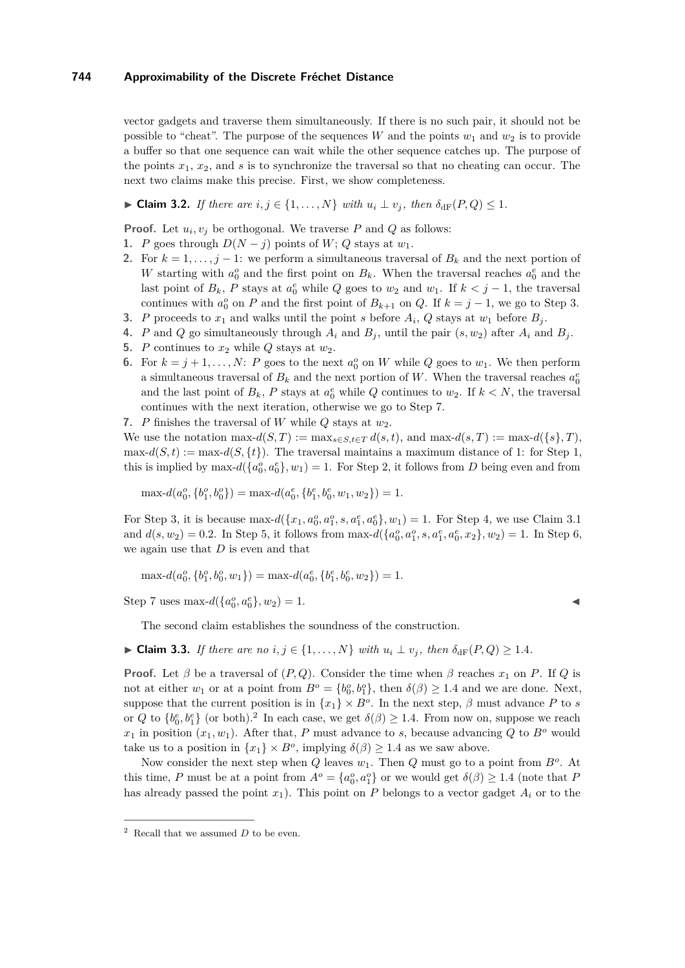vector gadgets and traverse them simultaneously. If there is no such pair, it should not be possible to "cheat". The purpose of the sequences *W* and the points  $w_1$  and  $w_2$  is to provide a buffer so that one sequence can wait while the other sequence catches up. The purpose of the points  $x_1, x_2$ , and  $s$  is to synchronize the traversal so that no cheating can occur. The next two claims make this precise. First, we show completeness.

<span id="page-5-8"></span>► Claim 3.2. *If there are*  $i, j \in \{1, \ldots, N\}$  *with*  $u_i \perp v_j$ *, then*  $\delta_{\text{dF}}(P, Q) \leq 1$ *.* 

**Proof.** Let  $u_i, v_j$  be orthogonal. We traverse  $P$  and  $Q$  as follows:

- <span id="page-5-2"></span>**1.** *P* goes through  $D(N - j)$  points of *W*; *Q* stays at *w*<sub>1</sub>.
- <span id="page-5-3"></span>**2.** For  $k = 1, \ldots, j - 1$ : we perform a simultaneous traversal of  $B_k$  and the next portion of *W* starting with  $a_0^o$  and the first point on  $B_k$ . When the traversal reaches  $a_0^e$  and the last point of  $B_k$ ,  $P$  stays at  $a_0^e$  while  $Q$  goes to  $w_2$  and  $w_1$ . If  $k < j - 1$ , the traversal continues with  $a_0^o$  on *P* and the first point of  $B_{k+1}$  on *Q*. If  $k = j - 1$ , we go to Step [3.](#page-5-0)
- <span id="page-5-0"></span>**3.** *P* proceeds to  $x_1$  and walks until the point *s* before  $A_i$ ,  $Q$  stays at  $w_1$  before  $B_j$ .
- <span id="page-5-4"></span>**4.** *P* and *Q* go simultaneously through  $A_i$  and  $B_j$ , until the pair  $(s, w_2)$  after  $A_i$  and  $B_j$ .
- <span id="page-5-5"></span>**5.** *P* continues to  $x_2$  while  $Q$  stays at  $w_2$ .
- <span id="page-5-6"></span>**6.** For  $k = j + 1, ..., N$ : *P* goes to the next  $a_0^o$  on *W* while *Q* goes to  $w_1$ . We then perform a simultaneous traversal of  $B_k$  and the next portion of W. When the traversal reaches  $a_0^e$ and the last point of  $B_k$ ,  $P$  stays at  $a_0^e$  while  $Q$  continues to  $w_2$ . If  $k < N$ , the traversal continues with the next iteration, otherwise we go to Step [7.](#page-5-1)
- <span id="page-5-1"></span>**7.** *P* finishes the traversal of *W* while  $Q$  stays at  $w_2$ .

We use the notation  $\max-d(S,T) := \max_{s \in S, t \in T} d(s,t)$ , and  $\max-d(s,T) := \max-d({s,T})$ ,  $\max-d(S, t) := \max-d(S, \{t\})$ . The traversal maintains a maximum distance of 1: for Step [1,](#page-5-2) this is implied by max- $d({a_0^o, a_0^e}, w_1) = 1$ . For Step [2,](#page-5-3) it follows from *D* being even and from

$$
\max-d(a_0^o, \{b_1^o, b_0^o\}) = \max-d(a_0^e, \{b_1^e, b_0^e, w_1, w_2\}) = 1.
$$

For Step [3,](#page-5-0) it is because  $\max-d(\{x_1, a_0^o, a_1^o, s, a_1^e, a_0^e\}, w_1) = 1$ . For Step [4,](#page-5-4) we use Claim [3.1](#page-4-1) and  $d(s, w_2) = 0.2$ . In Step [5,](#page-5-5) it follows from max- $d({a_0^o, a_1^o, s, a_1^e, a_0^e, x_2}, w_2) = 1$ . In Step [6,](#page-5-6) we again use that *D* is even and that

 $\max-d(a_0^o, \{b_1^o, b_0^o, w_1\}) = \max-d(a_0^e, \{b_1^e, b_0^e, w_2\}) = 1.$ 

Step [7](#page-5-1) uses max- $d({a_0^o, a_0^e}, w_2) = 1.$ 

The second claim establishes the soundness of the construction.

<span id="page-5-9"></span>► **Claim 3.3.** *If there are no*  $i, j \in \{1, \ldots, N\}$  *with*  $u_i \perp v_j$ , then  $\delta_{\text{dF}}(P, Q) \geq 1.4$ *.* 

**Proof.** Let  $\beta$  be a traversal of  $(P, Q)$ . Consider the time when  $\beta$  reaches  $x_1$  on  $P$ . If  $Q$  is not at either  $w_1$  or at a point from  $B^o = \{b_0^o, b_1^o\}$ , then  $\delta(\beta) \ge 1.4$  and we are done. Next, suppose that the current position is in  $\{x_1\} \times B^o$ . In the next step,  $\beta$  must advance P to *s* or *Q* to  ${b_0^e, b_1^e}$  (or both).<sup>[2](#page-5-7)</sup> In each case, we get  $\delta(\beta) \geq 1.4$ . From now on, suppose we reach  $x_1$  in position  $(x_1, w_1)$ . After that, *P* must advance to *s*, because advancing *Q* to *B<sup>o</sup>* would take us to a position in  $\{x_1\} \times B^o$ , implying  $\delta(\beta) \geq 1.4$  as we saw above.

Now consider the next step when  $Q$  leaves  $w_1$ . Then  $Q$  must go to a point from  $B^o$ . At this time, *P* must be at a point from  $A^o = \{a_0^o, a_1^o\}$  or we would get  $\delta(\beta) \ge 1.4$  (note that *P* has already passed the point  $x_1$ ). This point on *P* belongs to a vector gadget  $A_i$  or to the

<span id="page-5-7"></span><sup>2</sup> Recall that we assumed *D* to be even.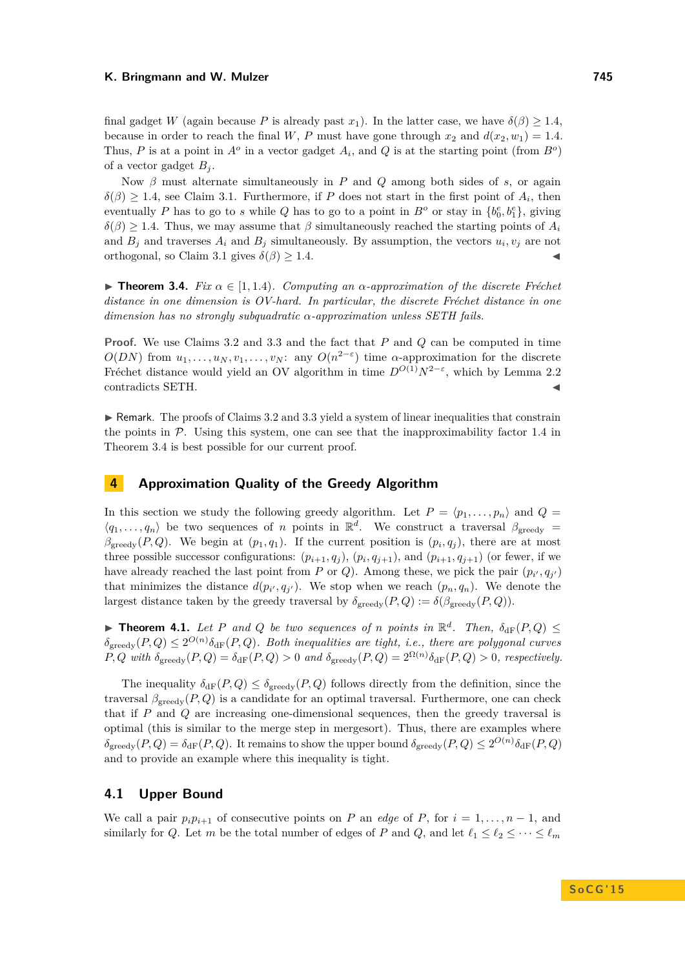final gadget *W* (again because *P* is already past  $x_1$ ). In the latter case, we have  $\delta(\beta) \geq 1.4$ , because in order to reach the final *W*, *P* must have gone through  $x_2$  and  $d(x_2, w_1) = 1.4$ . Thus, *P* is at a point in  $A^o$  in a vector gadget  $A_i$ , and  $Q$  is at the starting point (from  $B^o$ ) of a vector gadget  $B_i$ .

Now  $\beta$  must alternate simultaneously in *P* and *Q* among both sides of *s*, or again  $\delta(\beta) \geq 1.4$ , see Claim [3.1.](#page-4-1) Furthermore, if *P* does not start in the first point of  $A_i$ , then eventually *P* has to go to *s* while *Q* has to go to a point in  $B<sup>o</sup>$  or stay in  $\{b_0<sup>e</sup>, b_1<sup>e</sup>\}$ , giving  $\delta(\beta) \geq 1.4$ . Thus, we may assume that  $\beta$  simultaneously reached the starting points of  $A_i$ and  $B_j$  and traverses  $A_i$  and  $B_j$  simultaneously. By assumption, the vectors  $u_i, v_j$  are not orthogonal, so Claim [3.1](#page-4-1) gives  $\delta(\beta) \geq 1.4$ .

<span id="page-6-0"></span>**Figure 1.4.** *Fix*  $\alpha \in [1, 1.4)$ *. Computing an*  $\alpha$ -approximation of the discrete Fréchet *distance in one dimension is OV-hard. In particular, the discrete Fréchet distance in one dimension has no strongly subquadratic α-approximation unless SETH fails.*

**Proof.** We use Claims [3.2](#page-5-8) and [3.3](#page-5-9) and the fact that *P* and *Q* can be computed in time  $O(DN)$  from  $u_1, \ldots, u_N, v_1, \ldots, v_N$ : any  $O(n^{2-\epsilon})$  time *α*-approximation for the discrete Fréchet distance would yield an OV algorithm in time  $D^{O(1)}N^{2-\epsilon}$ , which by Lemma [2.2](#page-3-0) contradicts SETH.

 $\triangleright$  Remark. The proofs of Claims [3.2](#page-5-8) and [3.3](#page-5-9) yield a system of linear inequalities that constrain the points in  $P$ . Using this system, one can see that the inapproximability factor 1.4 in Theorem [3.4](#page-6-0) is best possible for our current proof.

# **4 Approximation Quality of the Greedy Algorithm**

In this section we study the following greedy algorithm. Let  $P = \langle p_1, \ldots, p_n \rangle$  and  $Q =$  $\langle q_1, \ldots, q_n \rangle$  be two sequences of *n* points in  $\mathbb{R}^d$ . We construct a traversal  $\beta_{\text{greedy}} =$  $\beta_{\text{greedy}}(P,Q)$ . We begin at  $(p_1, q_1)$ . If the current position is  $(p_i, q_j)$ , there are at most three possible successor configurations:  $(p_{i+1}, q_j)$ ,  $(p_i, q_{j+1})$ , and  $(p_{i+1}, q_{j+1})$  (or fewer, if we have already reached the last point from *P* or *Q*). Among these, we pick the pair  $(p_{i'}, q_{j'})$ that minimizes the distance  $d(p_{i'}, q_{j'})$ . We stop when we reach  $(p_n, q_n)$ . We denote the largest distance taken by the greedy traversal by  $\delta_{\text{greedy}}(P,Q) := \delta(\beta_{\text{greedy}}(P,Q)).$ 

**Find 1.1.** Let P and Q be two sequences of *n* points in  $\mathbb{R}^d$ . Then,  $\delta_{\rm dF}(P,Q) \leq$  $\delta_{\text{greedy}}(P,Q) \leq 2^{O(n)} \delta_{\text{dF}}(P,Q)$ . Both inequalities are tight, i.e., there are polygonal curves  $P, Q$  with  $\delta_{\text{greedy}}(P, Q) = \delta_{\text{dF}}(P, Q) > 0$  and  $\delta_{\text{greedy}}(P, Q) = 2^{\Omega(n)} \delta_{\text{dF}}(P, Q) > 0$ , respectively.

The inequality  $\delta_{\text{dF}}(P,Q) \leq \delta_{\text{greedy}}(P,Q)$  follows directly from the definition, since the traversal  $\beta_{greedy}(P,Q)$  is a candidate for an optimal traversal. Furthermore, one can check that if *P* and *Q* are increasing one-dimensional sequences, then the greedy traversal is optimal (this is similar to the merge step in mergesort). Thus, there are examples where  $\delta_{\text{greedy}}(P,Q) = \delta_{\text{dF}}(P,Q)$ . It remains to show the upper bound  $\delta_{\text{greedy}}(P,Q) \leq 2^{O(n)} \delta_{\text{dF}}(P,Q)$ and to provide an example where this inequality is tight.

#### **4.1 Upper Bound**

We call a pair  $p_i p_{i+1}$  of consecutive points on *P* an *edge* of *P*, for  $i = 1, \ldots, n-1$ , and similarly for *Q*. Let *m* be the total number of edges of *P* and *Q*, and let  $\ell_1 \leq \ell_2 \leq \cdots \leq \ell_m$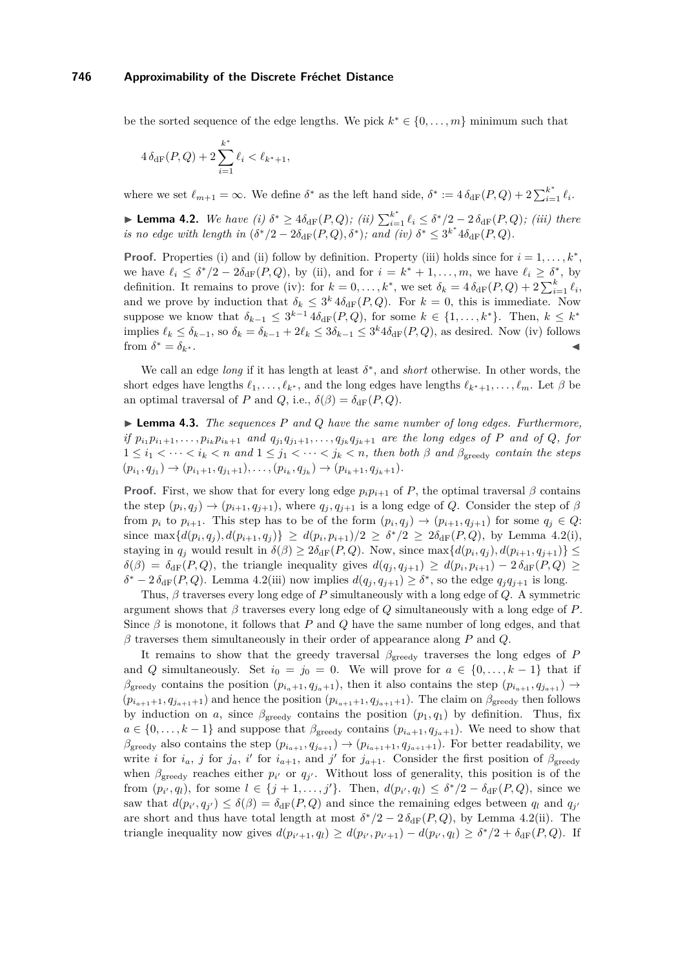be the sorted sequence of the edge lengths. We pick  $k^* \in \{0, \ldots, m\}$  minimum such that

$$
4\,\delta_{\mathrm{dF}}(P,Q) + 2\sum_{i=1}^{k^*} \ell_i < \ell_{k^*+1},
$$

where we set  $\ell_{m+1} = \infty$ . We define  $\delta^*$  as the left hand side,  $\delta^* := 4 \delta_{\text{dF}}(P,Q) + 2 \sum_{i=1}^{k^*} \ell_i$ .

<span id="page-7-0"></span>► **Lemma 4.2.** *We have (i)*  $\delta^* \geq 4\delta_{\rm dF}(P,Q)$ ; *(ii)*  $\sum_{i=1}^{k^*} \ell_i \leq \delta^*/2 - 2 \delta_{\rm dF}(P,Q)$ ; *(iii)* there *is no edge with length in*  $(\delta^*/2 - 2\delta_{\rm dF}(P,Q), \delta^*)$ ; and (iv)  $\delta^* \leq 3^{k^*}4\delta_{\rm dF}(P,Q)$ .

**Proof.** Properties (i) and (ii) follow by definition. Property (iii) holds since for  $i = 1, \ldots, k^*$ , we have  $\ell_i \leq \delta^*/2 - 2\delta_{\rm dF}(P,Q)$ , by (ii), and for  $i = k^* + 1, \ldots, m$ , we have  $\ell_i \geq \delta^*$ , by definition. It remains to prove (iv): for  $k = 0, \ldots, k^*$ , we set  $\delta_k = 4 \delta_{\text{dF}}(P,Q) + 2 \sum_{i=1}^k \ell_i$ , and we prove by induction that  $\delta_k \leq 3^k 4 \delta_{\rm dF}(P,Q)$ . For  $k=0$ , this is immediate. Now suppose we know that  $\delta_{k-1} \leq 3^{k-1} 4 \delta_{\rm dF}(P,Q)$ , for some  $k \in \{1,\ldots,k^*\}$ . Then,  $k \leq k^*$ implies  $\ell_k \leq \delta_{k-1}$ , so  $\delta_k = \delta_{k-1} + 2\ell_k \leq 3\delta_{k-1} \leq 3^k 4\delta_{\text{dF}}(P,Q)$ , as desired. Now (iv) follows from  $\delta^* = \delta_{k^*}.$  $* = \delta_{k^*}$ .  $\blacksquare$ 

We call an edge *long* if it has length at least  $\delta^*$ , and *short* otherwise. In other words, the short edges have lengths  $\ell_1, \ldots, \ell_{k^*}$ , and the long edges have lengths  $\ell_{k^*+1}, \ldots, \ell_m$ . Let  $\beta$  be an optimal traversal of *P* and *Q*, i.e.,  $\delta(\beta) = \delta_{\text{dF}}(P,Q)$ .

<span id="page-7-1"></span>I **Lemma 4.3.** *The sequences P and Q have the same number of long edges. Furthermore,* if  $p_{i_1}p_{i_1+1},\ldots,p_{i_k}p_{i_k+1}$  and  $q_{j_1}q_{j_1+1},\ldots,q_{j_k}q_{j_k+1}$  are the long edges of P and of Q, for  $1 \leq i_1 < \cdots < i_k < n$  and  $1 \leq j_1 < \cdots < j_k < n$ , then both  $\beta$  and  $\beta_{\text{greedy}}$  contain the steps  $(p_{i_1}, q_{j_1}) \rightarrow (p_{i_1+1}, q_{j_1+1}), \ldots, (p_{i_k}, q_{j_k}) \rightarrow (p_{i_k+1}, q_{j_k+1}).$ 

**Proof.** First, we show that for every long edge  $p_i p_{i+1}$  of *P*, the optimal traversal  $\beta$  contains the step  $(p_i, q_j) \rightarrow (p_{i+1}, q_{j+1})$ , where  $q_j, q_{j+1}$  is a long edge of *Q*. Consider the step of  $\beta$ from  $p_i$  to  $p_{i+1}$ . This step has to be of the form  $(p_i, q_j) \rightarrow (p_{i+1}, q_{j+1})$  for some  $q_j \in Q$ : since  $\max\{d(p_i, q_j), d(p_{i+1}, q_j)\} \geq d(p_i, p_{i+1})/2 \geq \delta^*/2 \geq 2\delta_{\text{dF}}(P, Q)$ , by Lemma [4.2\(](#page-7-0)i), staying in  $q_j$  would result in  $\delta(\beta) \geq 2\delta_{\text{dF}}(P,Q)$ . Now, since  $\max\{d(p_i,q_j), d(p_{i+1},q_{j+1})\} \leq$  $\delta(\beta) = \delta_{\text{dF}}(P,Q)$ , the triangle inequality gives  $d(q_j, q_{j+1}) \geq d(p_i, p_{i+1}) - 2 \delta_{\text{dF}}(P,Q) \geq$  $\delta^* - 2 \delta_{\text{dF}}(P,Q)$ . Lemma [4.2\(](#page-7-0)iii) now implies  $d(q_j, q_{j+1}) \geq \delta^*$ , so the edge  $q_j q_{j+1}$  is long.

Thus, *β* traverses every long edge of *P* simultaneously with a long edge of *Q*. A symmetric argument shows that  $\beta$  traverses every long edge of  $Q$  simultaneously with a long edge of  $P$ . Since  $\beta$  is monotone, it follows that *P* and *Q* have the same number of long edges, and that *β* traverses them simultaneously in their order of appearance along *P* and *Q*.

It remains to show that the greedy traversal *β*greedy traverses the long edges of *P* and *Q* simultaneously. Set  $i_0 = j_0 = 0$ . We will prove for  $a \in \{0, \ldots, k-1\}$  that if  $\beta_{\text{greedy}}$  contains the position  $(p_{i_a+1}, q_{j_a+1})$ , then it also contains the step  $(p_{i_{a+1}}, q_{j_{a+1}}) \rightarrow$  $(p_{i_{a+1}+1}, q_{j_{a+1}+1})$  and hence the position  $(p_{i_{a+1}+1}, q_{j_{a+1}+1})$ . The claim on  $\beta_{\text{greedy}}$  then follows by induction on *a*, since  $\beta_{\text{greedy}}$  contains the position  $(p_1, q_1)$  by definition. Thus, fix  $a \in \{0, \ldots, k-1\}$  and suppose that  $\beta_{\text{greedy}}$  contains  $(p_{i_a+1}, q_{j_a+1})$ . We need to show that  $\beta_{\text{greedy}}$  also contains the step  $(p_{i_{a+1}}, q_{j_{a+1}}) \rightarrow (p_{i_{a+1}+1}, q_{j_{a+1}+1})$ . For better readability, we write *i* for  $i_a$ , *j* for  $j_a$ , *i*<sup> $\prime$ </sup> for  $i_{a+1}$ , and *j*<sup> $\prime$ </sup> for  $j_{a+1}$ . Consider the first position of  $\beta_{\text{greedy}}$ when  $\beta_{\text{greedy}}$  reaches either  $p_{i'}$  or  $q_{j'}$ . Without loss of generality, this position is of the from  $(p_{i'}, q_l)$ , for some  $l \in \{j+1, \ldots, j'\}$ . Then,  $d(p_{i'}, q_l) \leq \delta^*/2 - \delta_{\text{dF}}(P, Q)$ , since we saw that  $d(p_{i'}, q_{j'}) \leq \delta(\beta) = \delta_{\text{dF}}(P, Q)$  and since the remaining edges between  $q_l$  and  $q_{j'}$ are short and thus have total length at most  $\delta^*/2 - 2 \delta_{\text{dF}}(P,Q)$ , by Lemma [4.2\(](#page-7-0)ii). The triangle inequality now gives  $d(p_{i'+1}, q_l) \geq d(p_{i'}, p_{i'+1}) - d(p_{i'}, q_l) \geq \delta^*/2 + \delta_{\text{dF}}(P,Q)$ . If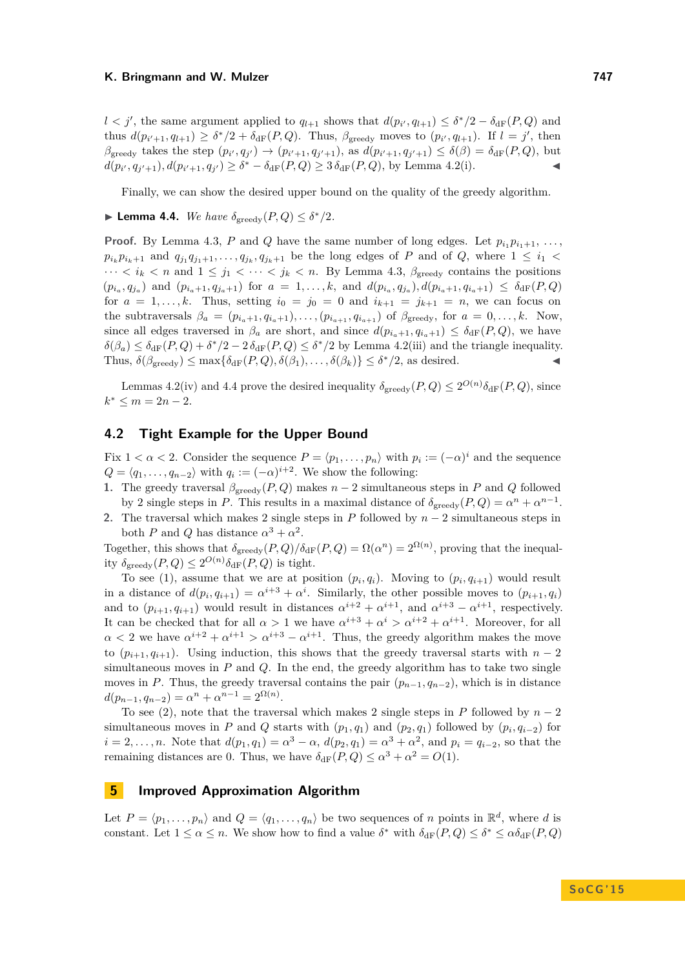$l < j'$ , the same argument applied to  $q_{l+1}$  shows that  $d(p_{i'}, q_{l+1}) \leq \delta^*/2 - \delta_{\rm dF}(P, Q)$  and thus  $d(p_{i'+1}, q_{l+1}) \geq \delta^*/2 + \delta_{\rm dF}(P, Q)$ . Thus,  $\beta_{\rm greedy}$  moves to  $(p_{i'}, q_{l+1})$ . If  $l = j'$ , then  $\beta_{\text{greedy}}$  takes the step  $(p_{i'}, q_{j'}) \rightarrow (p_{i'+1}, q_{j'+1}),$  as  $d(p_{i'+1}, q_{j'+1}) \leq \delta(\beta) = \delta_{\text{dF}}(P,Q)$ , but  $d(p_{i'}, q_{j'+1}), d(p_{i'+1}, q_{j'}) \geq \delta^* - \delta_{\text{dF}}(P, Q) \geq 3 \delta_{\text{dF}}(P, Q)$ , by Lemma [4.2\(](#page-7-0)i).

Finally, we can show the desired upper bound on the quality of the greedy algorithm.

# <span id="page-8-0"></span>**I** Lemma 4.4. *We have*  $\delta_{\text{greedy}}(P,Q) \leq \delta^*/2$ *.*

**Proof.** By Lemma [4.3,](#page-7-1) *P* and *Q* have the same number of long edges. Let  $p_{i_1} p_{i_1+1}, \ldots,$  $p_{i_k}p_{i_k+1}$  and  $q_{j_1}q_{j_1+1},\ldots,q_{j_k},q_{j_k+1}$  be the long edges of P and of Q, where  $1 \leq i_1$  $\cdots < i_k < n$  and  $1 \leq j_1 < \cdots < j_k < n$ . By Lemma [4.3,](#page-7-1)  $\beta_{\text{greedy}}$  contains the positions  $(p_{i_a}, q_{j_a})$  and  $(p_{i_a+1}, q_{j_a+1})$  for  $a = 1, ..., k$ , and  $d(p_{i_a}, q_{j_a}), d(p_{i_a+1}, q_{i_a+1}) \leq \delta_{\text{dF}}(P,Q)$ for  $a = 1, \ldots, k$ . Thus, setting  $i_0 = j_0 = 0$  and  $i_{k+1} = j_{k+1} = n$ , we can focus on the subtraversals  $\beta_a = (p_{i_a+1}, q_{i_a+1}), \ldots, (p_{i_{a+1}}, q_{i_{a+1}})$  of  $\beta_{\text{greedy}}$ , for  $a = 0, \ldots, k$ . Now, since all edges traversed in  $\beta_a$  are short, and since  $d(p_{i_a+1}, q_{i_a+1}) \leq \delta_{\rm dF}(P,Q)$ , we have  $\delta(\beta_a) \leq \delta_{\rm dF}(P,Q) + \delta^*/2 - 2 \delta_{\rm dF}(P,Q) \leq \delta^*/2$  by Lemma [4.2\(](#page-7-0)iii) and the triangle inequality. Thus,  $\delta(\beta_{\text{greedy}}) \le \max{\{\delta_{\text{dF}}(P,Q), \delta(\beta_1), \ldots, \delta(\beta_k)\}} \le \delta^*/2$ , as desired.

Lemmas [4.2\(](#page-7-0)iv) and [4.4](#page-8-0) prove the desired inequality  $\delta_{\text{greedy}}(P,Q) \leq 2^{O(n)} \delta_{\text{dF}}(P,Q)$ , since  $k^* \le m = 2n - 2.$ 

## **4.2 Tight Example for the Upper Bound**

Fix  $1 < \alpha < 2$ . Consider the sequence  $P = \langle p_1, \ldots, p_n \rangle$  with  $p_i := (-\alpha)^i$  and the sequence  $Q = \langle q_1, \ldots, q_{n-2} \rangle$  with  $q_i := (-\alpha)^{i+2}$ . We show the following:

- **1.** The greedy traversal *β*greedy(*P, Q*) makes *n* − 2 simultaneous steps in *P* and *Q* followed by 2 single steps in *P*. This results in a maximal distance of  $\delta_{\text{greedy}}(P,Q) = \alpha^n + \alpha^{n-1}$ .
- **2.** The traversal which makes 2 single steps in *P* followed by *n* − 2 simultaneous steps in both *P* and *Q* has distance  $\alpha^3 + \alpha^2$ .

Together, this shows that  $\delta_{\text{greedy}}(P,Q)/\delta_{\text{dF}}(P,Q) = \Omega(\alpha^n) = 2^{\Omega(n)}$ , proving that the inequality  $\delta_{\text{greedy}}(P,Q) \leq 2^{O(n)} \delta_{\text{dF}}(P,Q)$  is tight.

To see (1), assume that we are at position  $(p_i, q_i)$ . Moving to  $(p_i, q_{i+1})$  would result in a distance of  $d(p_i, q_{i+1}) = \alpha^{i+3} + \alpha^i$ . Similarly, the other possible moves to  $(p_{i+1}, q_i)$ and to  $(p_{i+1}, q_{i+1})$  would result in distances  $\alpha^{i+2} + \alpha^{i+1}$ , and  $\alpha^{i+3} - \alpha^{i+1}$ , respectively. It can be checked that for all  $\alpha > 1$  we have  $\alpha^{i+3} + \alpha^i > \alpha^{i+2} + \alpha^{i+1}$ . Moreover, for all  $\alpha$  < 2 we have  $\alpha^{i+2} + \alpha^{i+1} > \alpha^{i+3} - \alpha^{i+1}$ . Thus, the greedy algorithm makes the move to  $(p_{i+1}, q_{i+1})$ . Using induction, this shows that the greedy traversal starts with  $n-2$ simultaneous moves in *P* and *Q*. In the end, the greedy algorithm has to take two single moves in *P*. Thus, the greedy traversal contains the pair  $(p_{n-1}, q_{n-2})$ , which is in distance  $d(p_{n-1}, q_{n-2}) = \alpha^n + \alpha^{n-1} = 2^{\Omega(n)}.$ 

To see (2), note that the traversal which makes 2 single steps in *P* followed by  $n-2$ simultaneous moves in *P* and *Q* starts with  $(p_1, q_1)$  and  $(p_2, q_1)$  followed by  $(p_i, q_{i-2})$  for  $i = 2, \ldots, n$ . Note that  $d(p_1, q_1) = \alpha^3 - \alpha$ ,  $d(p_2, q_1) = \alpha^3 + \alpha^2$ , and  $p_i = q_{i-2}$ , so that the remaining distances are 0. Thus, we have  $\delta_{\text{dF}}(P,Q) \le \alpha^3 + \alpha^2 = O(1)$ .

## **5 Improved Approximation Algorithm**

Let  $P = \langle p_1, \ldots, p_n \rangle$  and  $Q = \langle q_1, \ldots, q_n \rangle$  be two sequences of *n* points in  $\mathbb{R}^d$ , where *d* is constant. Let  $1 \leq \alpha \leq n$ . We show how to find a value  $\delta^*$  with  $\delta_{\rm dF}(P,Q) \leq \delta^* \leq \alpha \delta_{\rm dF}(P,Q)$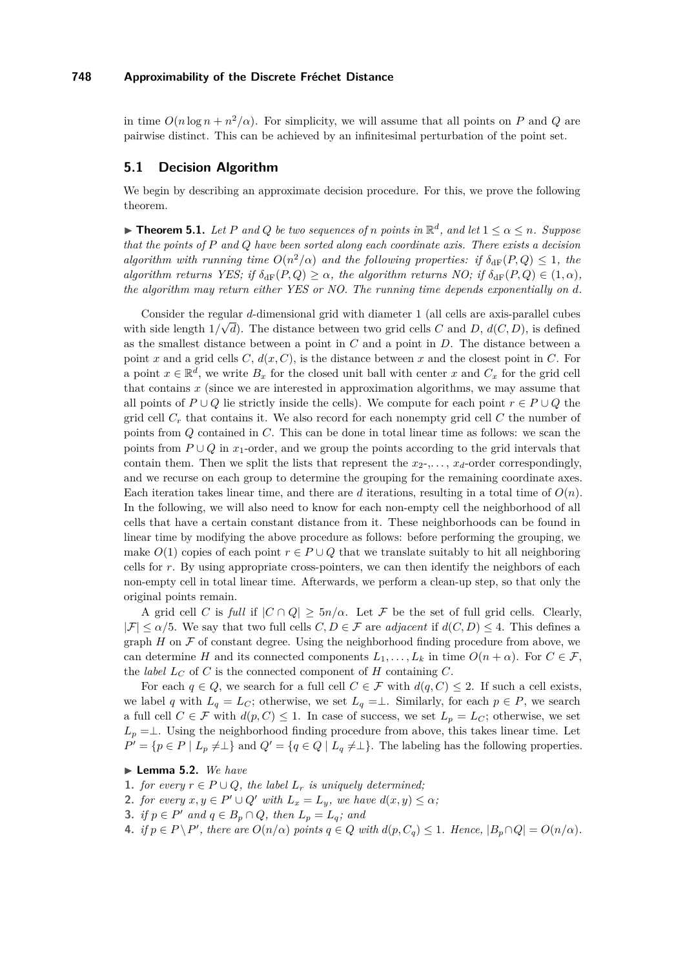in time  $O(n \log n + n^2/\alpha)$ . For simplicity, we will assume that all points on *P* and *Q* are pairwise distinct. This can be achieved by an infinitesimal perturbation of the point set.

## **5.1 Decision Algorithm**

We begin by describing an approximate decision procedure. For this, we prove the following theorem.

<span id="page-9-4"></span>**Fineorem 5.1.** *Let P* and *Q be two sequences of n points in*  $\mathbb{R}^d$ *, and let*  $1 \leq \alpha \leq n$ *. Suppose that the points of P and Q have been sorted along each coordinate axis. There exists a decision algorithm with running time*  $O(n^2/\alpha)$  *and the following properties: if*  $\delta_{\rm dF}(P,Q) \leq 1$ *, the algorithm returns YES; if*  $\delta_{\text{dF}}(P,Q) \geq \alpha$ *, the algorithm returns NO; if*  $\delta_{\text{dF}}(P,Q) \in (1,\alpha)$ *, the algorithm may return either YES or NO. The running time depends exponentially on d.*

Consider the regular  $d$ -dimensional grid with diameter 1 (all cells are axis-parallel cubes with side length  $1/\sqrt{d}$ . The distance between two grid cells *C* and *D*,  $d(C, D)$ , is defined as the smallest distance between a point in *C* and a point in *D*. The distance between a point *x* and a grid cells  $C$ ,  $d(x, C)$ , is the distance between *x* and the closest point in  $C$ . For a point  $x \in \mathbb{R}^d$ , we write  $B_x$  for the closed unit ball with center *x* and  $C_x$  for the grid cell that contains *x* (since we are interested in approximation algorithms, we may assume that all points of  $P \cup Q$  lie strictly inside the cells). We compute for each point  $r \in P \cup Q$  the grid cell *C<sup>r</sup>* that contains it. We also record for each nonempty grid cell *C* the number of points from *Q* contained in *C*. This can be done in total linear time as follows: we scan the points from  $P \cup Q$  in *x*<sub>1</sub>-order, and we group the points according to the grid intervals that contain them. Then we split the lists that represent the  $x_2, \ldots, x_d$ -order correspondingly, and we recurse on each group to determine the grouping for the remaining coordinate axes. Each iteration takes linear time, and there are *d* iterations, resulting in a total time of  $O(n)$ . In the following, we will also need to know for each non-empty cell the neighborhood of all cells that have a certain constant distance from it. These neighborhoods can be found in linear time by modifying the above procedure as follows: before performing the grouping, we make  $O(1)$  copies of each point  $r \in P \cup Q$  that we translate suitably to hit all neighboring cells for *r*. By using appropriate cross-pointers, we can then identify the neighbors of each non-empty cell in total linear time. Afterwards, we perform a clean-up step, so that only the original points remain.

A grid cell *C* is *full* if  $|C \cap Q| \ge 5n/\alpha$ . Let F be the set of full grid cells. Clearly,  $|\mathcal{F}| \leq \alpha/5$ . We say that two full cells  $C, D \in \mathcal{F}$  are *adjacent* if  $d(C, D) \leq 4$ . This defines a graph  $H$  on  $\mathcal F$  of constant degree. Using the neighborhood finding procedure from above, we can determine *H* and its connected components  $L_1, \ldots, L_k$  in time  $O(n + \alpha)$ . For  $C \in \mathcal{F}$ , the *label*  $L_C$  of  $C$  is the connected component of  $H$  containing  $C$ .

For each  $q \in Q$ , we search for a full cell  $C \in \mathcal{F}$  with  $d(q, C) \leq 2$ . If such a cell exists, we label *q* with  $L_q = L_C$ ; otherwise, we set  $L_q = \perp$ . Similarly, for each  $p \in P$ , we search a full cell  $C \in \mathcal{F}$  with  $d(p, C) \leq 1$ . In case of success, we set  $L_p = L_C$ ; otherwise, we set  $L_p = \perp$ . Using the neighborhood finding procedure from above, this takes linear time. Let  $P' = \{p \in P \mid L_p \neq \perp\}$  and  $Q' = \{q \in Q \mid L_q \neq \perp\}$ . The labeling has the following properties.

## <span id="page-9-1"></span>▶ Lemma 5.2. We have

- **1.** *for every*  $r ∈ P ∪ Q$ *, the label*  $L_r$  *is uniquely determined;*
- <span id="page-9-3"></span>**2.** *for every*  $x, y \in P' \cup Q'$  *with*  $L_x = L_y$ *, we have*  $d(x, y) \leq \alpha$ *;*
- <span id="page-9-2"></span>**3.** *if*  $p \in P'$  *and*  $q \in B_p \cap Q$ *, then*  $L_p = L_q$ *; and*
- <span id="page-9-0"></span>4. if  $p \in P \backslash P'$ , there are  $O(n/\alpha)$  points  $q \in Q$  with  $d(p, C_q) \leq 1$ . Hence,  $|B_p \cap Q| = O(n/\alpha)$ .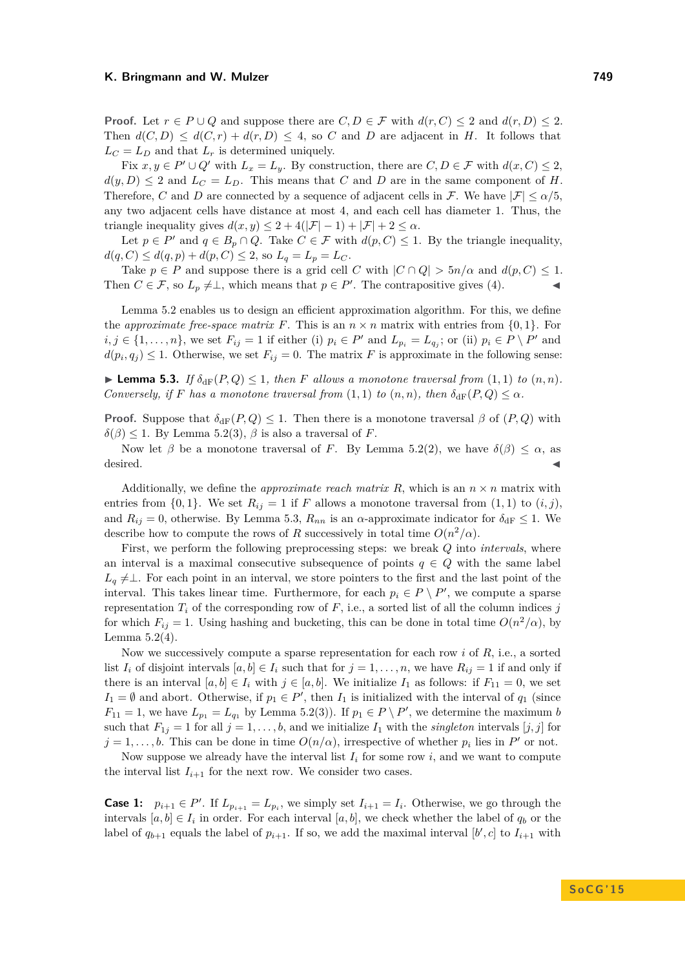**Proof.** Let  $r \in P \cup Q$  and suppose there are  $C, D \in \mathcal{F}$  with  $d(r, C) \leq 2$  and  $d(r, D) \leq 2$ . Then  $d(C, D) \leq d(C, r) + d(r, D) \leq 4$ , so *C* and *D* are adjacent in *H*. It follows that  $L_C = L_D$  and that  $L_r$  is determined uniquely.

Fix  $x, y \in P' \cup Q'$  with  $L_x = L_y$ . By construction, there are  $C, D \in \mathcal{F}$  with  $d(x, C) \leq 2$ ,  $d(y, D) \leq 2$  and  $L_C = L_D$ . This means that *C* and *D* are in the same component of *H*. Therefore, *C* and *D* are connected by a sequence of adjacent cells in F. We have  $|\mathcal{F}| \le \alpha/5$ . any two adjacent cells have distance at most 4, and each cell has diameter 1. Thus, the triangle inequality gives  $d(x, y) \leq 2 + 4(|\mathcal{F}| - 1) + |\mathcal{F}| + 2 \leq \alpha$ .

Let  $p \in P'$  and  $q \in B_p \cap Q$ . Take  $C \in \mathcal{F}$  with  $d(p, C) \leq 1$ . By the triangle inequality,  $d(q, C) \leq d(q, p) + d(p, C) \leq 2$ , so  $L_q = L_p = L_c$ .

Take  $p \in P$  and suppose there is a grid cell *C* with  $|C \cap Q| > 5n/\alpha$  and  $d(p, C) \leq 1$ . Then  $C \in \mathcal{F}$ , so  $L_p \neq \perp$ , which means that  $p \in P'$ . The contrapositive gives [\(4\)](#page-9-0).

Lemma [5.2](#page-9-1) enables us to design an efficient approximation algorithm. For this, we define the *approximate free-space matrix* F. This is an  $n \times n$  matrix with entries from  $\{0, 1\}$ . For  $i, j \in \{1, \ldots, n\}$ , we set  $F_{ij} = 1$  if either (i)  $p_i \in P'$  and  $L_{p_i} = L_{q_j}$ ; or (ii)  $p_i \in P \setminus P'$  and  $d(p_i, q_j) \leq 1$ . Otherwise, we set  $F_{ij} = 0$ . The matrix *F* is approximate in the following sense:

<span id="page-10-0"></span>**Lemma 5.3.** *If*  $\delta_{\text{dF}}(P,Q) \leq 1$ *, then F* allows a monotone traversal from  $(1,1)$  to  $(n,n)$ . *Conversely, if F has a monotone traversal from*  $(1,1)$  *to*  $(n, n)$ *, then*  $\delta_{\text{dF}}(P,Q) \leq \alpha$ *.* 

**Proof.** Suppose that  $\delta_{\text{dF}}(P,Q) \leq 1$ . Then there is a monotone traversal  $\beta$  of  $(P,Q)$  with  $\delta(\beta) \leq 1$ . By Lemma [5.2\(](#page-9-1)[3\)](#page-9-2),  $\beta$  is also a traversal of *F*.

Now let *β* be a monotone traversal of *F*. By Lemma [5.2](#page-9-1)[\(2\)](#page-9-3), we have  $\delta(\beta) \leq \alpha$ , as  $\blacksquare$  desired.

Additionally, we define the *approximate reach matrix*  $R$ , which is an  $n \times n$  matrix with entries from  $\{0,1\}$ . We set  $R_{ij} = 1$  if F allows a monotone traversal from  $(1,1)$  to  $(i,j)$ , and  $R_{ij} = 0$ , otherwise. By Lemma [5.3,](#page-10-0)  $R_{nn}$  is an  $\alpha$ -approximate indicator for  $\delta_{\rm dF} \leq 1$ . We describe how to compute the rows of *R* successively in total time  $O(n^2/\alpha)$ .

First, we perform the following preprocessing steps: we break *Q* into *intervals*, where an interval is a maximal consecutive subsequence of points  $q \in Q$  with the same label  $L_q \neq \perp$ . For each point in an interval, we store pointers to the first and the last point of the interval. This takes linear time. Furthermore, for each  $p_i \in P \setminus P'$ , we compute a sparse representation  $T_i$  of the corresponding row of  $F$ , i.e., a sorted list of all the column indices  $j$ for which  $F_{ij} = 1$ . Using hashing and bucketing, this can be done in total time  $O(n^2/\alpha)$ , by Lemma [5.2\(](#page-9-1)[4\)](#page-9-0).

Now we successively compute a sparse representation for each row *i* of *R*, i.e., a sorted list  $I_i$  of disjoint intervals  $[a, b] \in I_i$  such that for  $j = 1, \ldots, n$ , we have  $R_{ij} = 1$  if and only if there is an interval  $[a, b] \in I_i$  with  $j \in [a, b]$ . We initialize  $I_1$  as follows: if  $F_{11} = 0$ , we set  $I_1 = \emptyset$  and abort. Otherwise, if  $p_1 \in P'$ , then  $I_1$  is initialized with the interval of  $q_1$  (since  $F_{11} = 1$ , we have  $L_{p_1} = L_{q_1}$  by Lemma [5.2](#page-9-1)[\(3\)](#page-9-2)). If  $p_1 \in P \setminus P'$ , we determine the maximum *b* such that  $F_{1j} = 1$  for all  $j = 1, \ldots, b$ , and we initialize  $I_1$  with the *singleton* intervals  $[j, j]$  for  $j = 1, \ldots, b$ . This can be done in time  $O(n/\alpha)$ , irrespective of whether  $p_i$  lies in  $P'$  or not.

Now suppose we already have the interval list  $I_i$  for some row  $i$ , and we want to compute the interval list  $I_{i+1}$  for the next row. We consider two cases.

**Case 1:**  $p_{i+1} \in P'$ . If  $L_{p_{i+1}} = L_{p_i}$ , we simply set  $I_{i+1} = I_i$ . Otherwise, we go through the intervals  $[a, b] \in I_i$  in order. For each interval  $[a, b]$ , we check whether the label of  $q_b$  or the label of  $q_{b+1}$  equals the label of  $p_{i+1}$ . If so, we add the maximal interval  $[b', c]$  to  $I_{i+1}$  with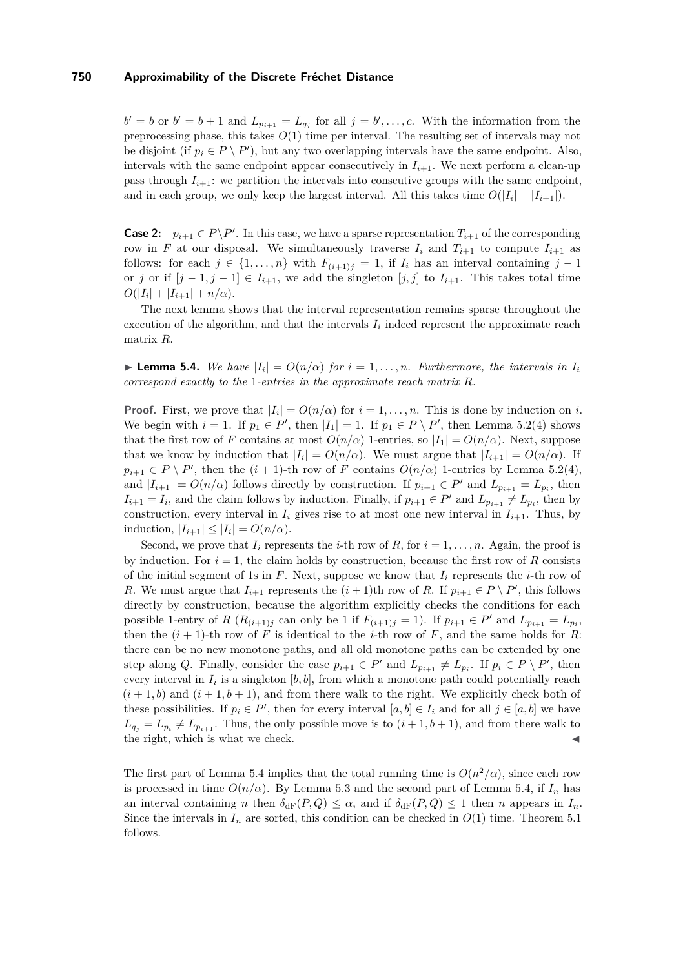$b' = b$  or  $b' = b + 1$  and  $L_{p_{i+1}} = L_{q_j}$  for all  $j = b', \ldots, c$ . With the information from the preprocessing phase, this takes *O*(1) time per interval. The resulting set of intervals may not be disjoint (if  $p_i \in P \setminus P'$ ), but any two overlapping intervals have the same endpoint. Also, intervals with the same endpoint appear consecutively in  $I_{i+1}$ . We next perform a clean-up pass through  $I_{i+1}$ : we partition the intervals into conscutive groups with the same endpoint, and in each group, we only keep the largest interval. All this takes time  $O(|I_i| + |I_{i+1}|)$ .

**Case 2:**  $p_{i+1} \in P \backslash P'$ . In this case, we have a sparse representation  $T_{i+1}$  of the corresponding row in *F* at our disposal. We simultaneously traverse  $I_i$  and  $T_{i+1}$  to compute  $I_{i+1}$  as follows: for each  $j \in \{1, \ldots, n\}$  with  $F_{(i+1)j} = 1$ , if  $I_i$  has an interval containing  $j - 1$ or *j* or if  $[j-1,j-1] \in I_{i+1}$ , we add the singleton  $[j,j]$  to  $I_{i+1}$ . This takes total time  $O(|I_i| + |I_{i+1}| + n/\alpha).$ 

The next lemma shows that the interval representation remains sparse throughout the execution of the algorithm, and that the intervals  $I_i$  indeed represent the approximate reach matrix *R*.

<span id="page-11-0"></span>**Example 1.** Lemma 5.4. We have  $|I_i| = O(n/\alpha)$  for  $i = 1, \ldots, n$ . Furthermore, the intervals in  $I_i$ *correspond exactly to the* 1*-entries in the approximate reach matrix R.*

**Proof.** First, we prove that  $|I_i| = O(n/\alpha)$  for  $i = 1, ..., n$ . This is done by induction on *i*. We begin with  $i = 1$ . If  $p_1 \in P'$ , then  $|I_1| = 1$ . If  $p_1 \in P \setminus P'$ , then Lemma [5.2\(](#page-9-1)4) shows that the first row of *F* contains at most  $O(n/\alpha)$  1-entries, so  $|I_1| = O(n/\alpha)$ . Next, suppose that we know by induction that  $|I_i| = O(n/\alpha)$ . We must argue that  $|I_{i+1}| = O(n/\alpha)$ . If  $p_{i+1} \in P \setminus P'$ , then the  $(i + 1)$ -th row of *F* contains  $O(n/\alpha)$  1-entries by Lemma [5.2\(](#page-9-1)4), and  $|I_{i+1}| = O(n/\alpha)$  follows directly by construction. If  $p_{i+1} \in P'$  and  $L_{p_{i+1}} = L_{p_i}$ , then  $I_{i+1} = I_i$ , and the claim follows by induction. Finally, if  $p_{i+1} \in P'$  and  $L_{p_{i+1}} \neq L_{p_i}$ , then by construction, every interval in  $I_i$  gives rise to at most one new interval in  $I_{i+1}$ . Thus, by induction,  $|I_{i+1}| \leq |I_i| = O(n/\alpha)$ .

Second, we prove that  $I_i$  represents the *i*-th row of R, for  $i = 1, \ldots, n$ . Again, the proof is by induction. For  $i = 1$ , the claim holds by construction, because the first row of *R* consists of the initial segment of 1s in  $F$ . Next, suppose we know that  $I_i$  represents the *i*-th row of *R*. We must argue that  $I_{i+1}$  represents the  $(i+1)$ th row of *R*. If  $p_{i+1} \in P \setminus P'$ , this follows directly by construction, because the algorithm explicitly checks the conditions for each possible 1-entry of *R* ( $R_{(i+1)j}$  can only be 1 if  $F_{(i+1)j} = 1$ ). If  $p_{i+1} \in P'$  and  $L_{p_{i+1}} = L_{p_i}$ , then the  $(i + 1)$ -th row of *F* is identical to the *i*-th row of *F*, and the same holds for *R*: there can be no new monotone paths, and all old monotone paths can be extended by one step along *Q*. Finally, consider the case  $p_{i+1} \in P'$  and  $L_{p_{i+1}} \neq L_{p_i}$ . If  $p_i \in P \setminus P'$ , then every interval in  $I_i$  is a singleton  $[b, b]$ , from which a monotone path could potentially reach  $(i+1,b)$  and  $(i+1,b+1)$ , and from there walk to the right. We explicitly check both of these possibilities. If  $p_i \in P'$ , then for every interval  $[a, b] \in I_i$  and for all  $j \in [a, b]$  we have  $L_{q_j} = L_{p_i} \neq L_{p_{i+1}}$ . Thus, the only possible move is to  $(i+1,b+1)$ , and from there walk to the right, which is what we check.

The first part of Lemma [5.4](#page-11-0) implies that the total running time is  $O(n^2/\alpha)$ , since each row is processed in time  $O(n/\alpha)$ . By Lemma [5.3](#page-10-0) and the second part of Lemma [5.4,](#page-11-0) if  $I_n$  has an interval containing *n* then  $\delta_{\text{dF}}(P,Q) \leq \alpha$ , and if  $\delta_{\text{dF}}(P,Q) \leq 1$  then *n* appears in  $I_n$ . Since the intervals in  $I_n$  are sorted, this condition can be checked in  $O(1)$  time. Theorem [5.1](#page-9-4) follows.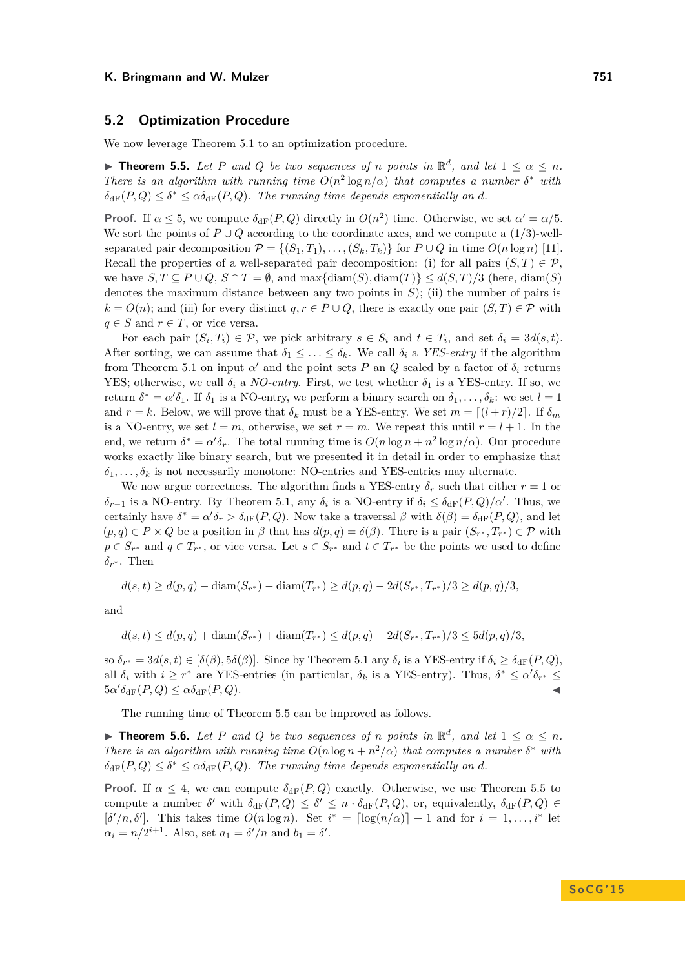## **5.2 Optimization Procedure**

We now leverage Theorem [5.1](#page-9-4) to an optimization procedure.

<span id="page-12-0"></span>**Fineorem 5.5.** Let P and Q be two sequences of *n* points in  $\mathbb{R}^d$ , and let  $1 \leq \alpha \leq n$ . *There is an algorithm with running time*  $O(n^2 \log n/\alpha)$  *that computes a number*  $\delta^*$  *with*  $\delta_{\text{dF}}(P,Q) \leq \delta^* \leq \alpha \delta_{\text{dF}}(P,Q)$ . The running time depends exponentially on d.

**Proof.** If  $\alpha \leq 5$ , we compute  $\delta_{\text{dF}}(P,Q)$  directly in  $O(n^2)$  time. Otherwise, we set  $\alpha' = \alpha/5$ . We sort the points of *P* ∪ *Q* according to the coordinate axes, and we compute a (1*/*3)-wellseparated pair decomposition  $\mathcal{P} = \{(S_1, T_1), \ldots, (S_k, T_k)\}\$ for  $P \cup Q$  in time  $O(n \log n)$  [\[11\]](#page-14-14). Recall the properties of a well-separated pair decomposition: (i) for all pairs  $(S,T) \in \mathcal{P}$ , we have  $S, T \subseteq P \cup Q, S \cap T = \emptyset$ , and  $\max{\{\text{diam}(S), \text{diam}(T)\}\leq d(S, T)/3$  (here,  $\text{diam}(S)$ ) denotes the maximum distance between any two points in *S*); (ii) the number of pairs is  $k = O(n)$ ; and (iii) for every distinct  $q, r \in P \cup Q$ , there is exactly one pair  $(S, T) \in \mathcal{P}$  with  $q \in S$  and  $r \in T$ , or vice versa.

For each pair  $(S_i, T_i) \in \mathcal{P}$ , we pick arbitrary  $s \in S_i$  and  $t \in T_i$ , and set  $\delta_i = 3d(s, t)$ . After sorting, we can assume that  $\delta_1 \leq \ldots \leq \delta_k$ . We call  $\delta_i$  a *YES-entry* if the algorithm from Theorem [5.1](#page-9-4) on input  $\alpha'$  and the point sets *P* an *Q* scaled by a factor of  $\delta_i$  returns YES; otherwise, we call  $\delta_i$  a *NO-entry*. First, we test whether  $\delta_1$  is a YES-entry. If so, we return  $\delta^* = \alpha' \delta_1$ . If  $\delta_1$  is a NO-entry, we perform a binary search on  $\delta_1, \ldots, \delta_k$ : we set  $l = 1$ and  $r = k$ . Below, we will prove that  $\delta_k$  must be a YES-entry. We set  $m = \lfloor (l + r)/2 \rfloor$ . If  $\delta_m$ is a NO-entry, we set  $l = m$ , otherwise, we set  $r = m$ . We repeat this until  $r = l + 1$ . In the end, we return  $\delta^* = \alpha' \delta_r$ . The total running time is  $O(n \log n + n^2 \log n/\alpha)$ . Our procedure works exactly like binary search, but we presented it in detail in order to emphasize that  $\delta_1, \ldots, \delta_k$  is not necessarily monotone: NO-entries and YES-entries may alternate.

We now argue correctness. The algorithm finds a YES-entry  $\delta_r$  such that either  $r = 1$  or *δ*<sup>*r*</sup>−1</sub> is a NO-entry. By Theorem [5.1,](#page-9-4) any *δ*<sup>*i*</sup> is a NO-entry if  $δ$ <sup>*i*</sup> ≤  $δ$ <sub>dF</sub>(*P, Q*)/α'. Thus, we certainly have  $\delta^* = \alpha' \delta_r > \delta_{\rm dF}(P,Q)$ . Now take a traversal  $\beta$  with  $\delta(\beta) = \delta_{\rm dF}(P,Q)$ , and let  $(p,q) \in P \times Q$  be a position in  $\beta$  that has  $d(p,q) = \delta(\beta)$ . There is a pair  $(S_{r^*}, T_{r^*}) \in \mathcal{P}$  with  $p \in S_{r^*}$  and  $q \in T_{r^*}$ , or vice versa. Let  $s \in S_{r^*}$  and  $t \in T_{r^*}$  be the points we used to define  $\delta_{r^*}$ . Then

$$
d(s,t) \ge d(p,q) - \text{diam}(S_{r^*}) - \text{diam}(T_{r^*}) \ge d(p,q) - 2d(S_{r^*}, T_{r^*})/3 \ge d(p,q)/3,
$$

and

$$
d(s,t) \le d(p,q) + \text{diam}(S_{r^*}) + \text{diam}(T_{r^*}) \le d(p,q) + 2d(S_{r^*}, T_{r^*})/3 \le 5d(p,q)/3,
$$

 $\delta \delta_{r^*} = 3d(s,t) \in [\delta(\beta), 5\delta(\beta)].$  Since by Theorem [5.1](#page-9-4) any  $\delta_i$  is a YES-entry if  $\delta_i \geq \delta_{\text{dF}}(P,Q),$ all  $\delta_i$  with  $i \geq r^*$  are YES-entries (in particular,  $\delta_k$  is a YES-entry). Thus,  $\delta^* \leq \alpha' \delta_{r^*} \leq$  $5\alpha' \delta_{\rm dF}(P,Q) \leq \alpha \delta_{\rm dF}(P,Q).$ 

The running time of Theorem [5.5](#page-12-0) can be improved as follows.

**Fineorem 5.6.** Let P and Q be two sequences of *n* points in  $\mathbb{R}^d$ , and let  $1 \leq \alpha \leq n$ . *There is an algorithm with running time*  $O(n \log n + n^2/\alpha)$  *that computes a number*  $\delta^*$  *with*  $\delta_{\text{dF}}(P,Q) \leq \delta^* \leq \alpha \delta_{\text{dF}}(P,Q)$ . The running time depends exponentially on *d*.

**Proof.** If  $\alpha \leq 4$ , we can compute  $\delta_{\text{dF}}(P,Q)$  exactly. Otherwise, we use Theorem [5.5](#page-12-0) to compute a number  $\delta'$  with  $\delta_{\rm dF}(P,Q) \leq \delta' \leq n \cdot \delta_{\rm dF}(P,Q)$ , or, equivalently,  $\delta_{\rm dF}(P,Q) \in$  $[\delta'/n, \delta']$ . This takes time  $O(n \log n)$ . Set  $i^* = \lceil \log(n/\alpha) \rceil + 1$  and for  $i = 1, \ldots, i^*$  let  $\alpha_i = n/2^{i+1}$ . Also, set  $a_1 = \delta'/n$  and  $b_1 = \delta'$ .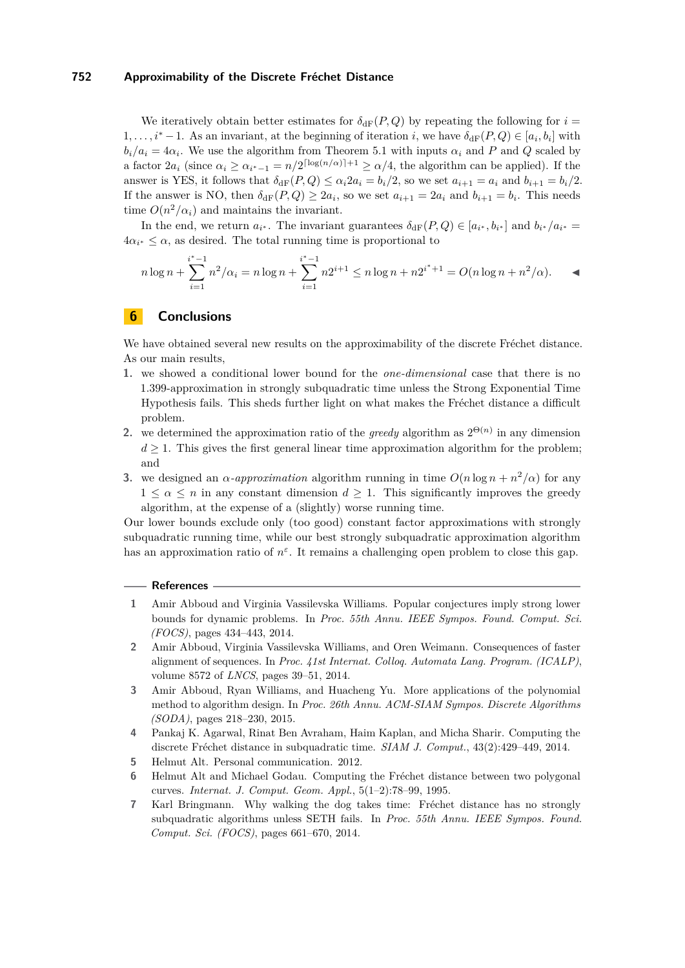We iteratively obtain better estimates for  $\delta_{\text{dF}}(P,Q)$  by repeating the following for  $i =$ 1, ...,  $i^* - 1$ . As an invariant, at the beginning of iteration *i*, we have  $\delta_{\text{dF}}(P,Q) \in [a_i, b_i]$  with  $b_i/a_i = 4\alpha_i$ . We use the algorithm from Theorem [5.1](#page-9-4) with inputs  $\alpha_i$  and *P* and *Q* scaled by a factor  $2a_i$  (since  $\alpha_i \ge \alpha_{i^*-1} = n/2^{\lceil \log(n/\alpha) \rceil + 1} \ge \alpha/4$ , the algorithm can be applied). If the answer is YES, it follows that  $\delta_{\text{dF}}(P,Q) \leq \alpha_i 2a_i = b_i/2$ , so we set  $a_{i+1} = a_i$  and  $b_{i+1} = b_i/2$ . If the answer is NO, then  $\delta_{\text{dF}}(P,Q) \geq 2a_i$ , so we set  $a_{i+1} = 2a_i$  and  $b_{i+1} = b_i$ . This needs time  $O(n^2/\alpha_i)$  and maintains the invariant.

In the end, we return  $a_{i^*}$ . The invariant guarantees  $\delta_{\text{dF}}(P,Q) \in [a_{i^*}, b_{i^*}]$  and  $b_{i^*}/a_{i^*} =$  $4\alpha_{i^*} \leq \alpha$ , as desired. The total running time is proportional to

$$
n\log n + \sum_{i=1}^{i^*-1} n^2/\alpha_i = n\log n + \sum_{i=1}^{i^*-1} n2^{i+1} \le n\log n + n2^{i^*+1} = O(n\log n + n^2/\alpha).
$$

# <span id="page-13-6"></span>**6 Conclusions**

We have obtained several new results on the approximability of the discrete Fréchet distance. As our main results,

- **1.** we showed a conditional lower bound for the *one-dimensional* case that there is no 1.399-approximation in strongly subquadratic time unless the Strong Exponential Time Hypothesis fails. This sheds further light on what makes the Fréchet distance a difficult problem.
- **2.** we determined the approximation ratio of the *greedy* algorithm as  $2^{\Theta(n)}$  in any dimension  $d \geq 1$ . This gives the first general linear time approximation algorithm for the problem; and
- **3.** we designed an *α-approximation* algorithm running in time  $O(n \log n + n^2/\alpha)$  for any  $1 \leq \alpha \leq n$  in any constant dimension  $d \geq 1$ . This significantly improves the greedy algorithm, at the expense of a (slightly) worse running time.

Our lower bounds exclude only (too good) constant factor approximations with strongly subquadratic running time, while our best strongly subquadratic approximation algorithm has an approximation ratio of  $n^{\varepsilon}$ . It remains a challenging open problem to close this gap.

#### **References**

- <span id="page-13-4"></span>**1** Amir Abboud and Virginia Vassilevska Williams. Popular conjectures imply strong lower bounds for dynamic problems. In *Proc. 55th Annu. IEEE Sympos. Found. Comput. Sci. (FOCS)*, pages 434–443, 2014.
- <span id="page-13-5"></span>**2** Amir Abboud, Virginia Vassilevska Williams, and Oren Weimann. Consequences of faster alignment of sequences. In *Proc. 41st Internat. Colloq. Automata Lang. Program. (ICALP)*, volume 8572 of *LNCS*, pages 39–51, 2014.
- <span id="page-13-7"></span>**3** Amir Abboud, Ryan Williams, and Huacheng Yu. More applications of the polynomial method to algorithm design. In *Proc. 26th Annu. ACM-SIAM Sympos. Discrete Algorithms (SODA)*, pages 218–230, 2015.
- <span id="page-13-1"></span>**4** Pankaj K. Agarwal, Rinat Ben Avraham, Haim Kaplan, and Micha Sharir. Computing the discrete Fréchet distance in subquadratic time. *SIAM J. Comput.*, 43(2):429–449, 2014.
- <span id="page-13-3"></span>**5** Helmut Alt. Personal communication. 2012.
- <span id="page-13-0"></span>**6** Helmut Alt and Michael Godau. Computing the Fréchet distance between two polygonal curves. *Internat. J. Comput. Geom. Appl.*, 5(1–2):78–99, 1995.
- <span id="page-13-2"></span>**7** Karl Bringmann. Why walking the dog takes time: Fréchet distance has no strongly subquadratic algorithms unless SETH fails. In *Proc. 55th Annu. IEEE Sympos. Found. Comput. Sci. (FOCS)*, pages 661–670, 2014.